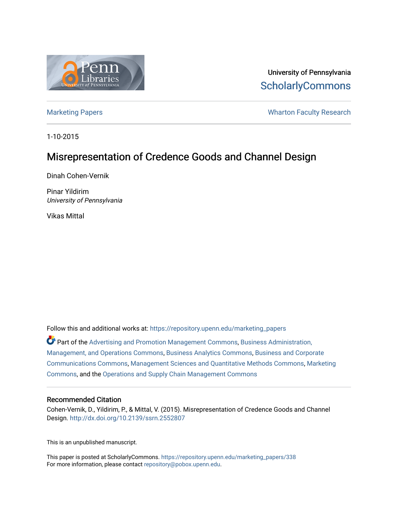

University of Pennsylvania **ScholarlyCommons** 

[Marketing Papers](https://repository.upenn.edu/marketing_papers) **Marketing Papers Marketing Papers Wharton Faculty Research** 

1-10-2015

# Misrepresentation of Credence Goods and Channel Design

Dinah Cohen-Vernik

Pinar Yildirim University of Pennsylvania

Vikas Mittal

Follow this and additional works at: [https://repository.upenn.edu/marketing\\_papers](https://repository.upenn.edu/marketing_papers?utm_source=repository.upenn.edu%2Fmarketing_papers%2F338&utm_medium=PDF&utm_campaign=PDFCoverPages)

Part of the [Advertising and Promotion Management Commons,](http://network.bepress.com/hgg/discipline/626?utm_source=repository.upenn.edu%2Fmarketing_papers%2F338&utm_medium=PDF&utm_campaign=PDFCoverPages) [Business Administration,](http://network.bepress.com/hgg/discipline/623?utm_source=repository.upenn.edu%2Fmarketing_papers%2F338&utm_medium=PDF&utm_campaign=PDFCoverPages) [Management, and Operations Commons](http://network.bepress.com/hgg/discipline/623?utm_source=repository.upenn.edu%2Fmarketing_papers%2F338&utm_medium=PDF&utm_campaign=PDFCoverPages), [Business Analytics Commons](http://network.bepress.com/hgg/discipline/1398?utm_source=repository.upenn.edu%2Fmarketing_papers%2F338&utm_medium=PDF&utm_campaign=PDFCoverPages), [Business and Corporate](http://network.bepress.com/hgg/discipline/627?utm_source=repository.upenn.edu%2Fmarketing_papers%2F338&utm_medium=PDF&utm_campaign=PDFCoverPages)  [Communications Commons,](http://network.bepress.com/hgg/discipline/627?utm_source=repository.upenn.edu%2Fmarketing_papers%2F338&utm_medium=PDF&utm_campaign=PDFCoverPages) [Management Sciences and Quantitative Methods Commons,](http://network.bepress.com/hgg/discipline/637?utm_source=repository.upenn.edu%2Fmarketing_papers%2F338&utm_medium=PDF&utm_campaign=PDFCoverPages) [Marketing](http://network.bepress.com/hgg/discipline/638?utm_source=repository.upenn.edu%2Fmarketing_papers%2F338&utm_medium=PDF&utm_campaign=PDFCoverPages)  [Commons](http://network.bepress.com/hgg/discipline/638?utm_source=repository.upenn.edu%2Fmarketing_papers%2F338&utm_medium=PDF&utm_campaign=PDFCoverPages), and the [Operations and Supply Chain Management Commons](http://network.bepress.com/hgg/discipline/1229?utm_source=repository.upenn.edu%2Fmarketing_papers%2F338&utm_medium=PDF&utm_campaign=PDFCoverPages) 

#### Recommended Citation

Cohen-Vernik, D., Yildirim, P., & Mittal, V. (2015). Misrepresentation of Credence Goods and Channel Design. <http://dx.doi.org/10.2139/ssrn.2552807>

This is an unpublished manuscript.

This paper is posted at ScholarlyCommons. [https://repository.upenn.edu/marketing\\_papers/338](https://repository.upenn.edu/marketing_papers/338)  For more information, please contact [repository@pobox.upenn.edu.](mailto:repository@pobox.upenn.edu)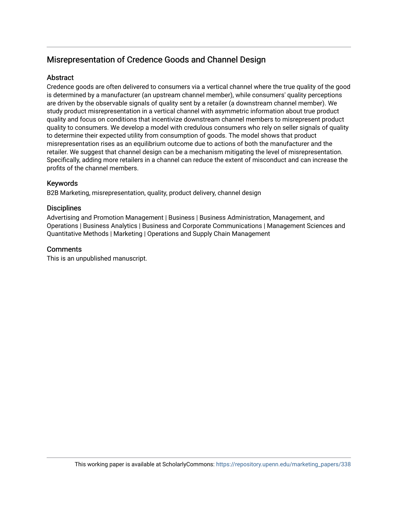# Misrepresentation of Credence Goods and Channel Design

## **Abstract**

Credence goods are often delivered to consumers via a vertical channel where the true quality of the good is determined by a manufacturer (an upstream channel member), while consumers' quality perceptions are driven by the observable signals of quality sent by a retailer (a downstream channel member). We study product misrepresentation in a vertical channel with asymmetric information about true product quality and focus on conditions that incentivize downstream channel members to misrepresent product quality to consumers. We develop a model with credulous consumers who rely on seller signals of quality to determine their expected utility from consumption of goods. The model shows that product misrepresentation rises as an equilibrium outcome due to actions of both the manufacturer and the retailer. We suggest that channel design can be a mechanism mitigating the level of misrepresentation. Specifically, adding more retailers in a channel can reduce the extent of misconduct and can increase the profits of the channel members.

### Keywords

B2B Marketing, misrepresentation, quality, product delivery, channel design

### **Disciplines**

Advertising and Promotion Management | Business | Business Administration, Management, and Operations | Business Analytics | Business and Corporate Communications | Management Sciences and Quantitative Methods | Marketing | Operations and Supply Chain Management

### **Comments**

This is an unpublished manuscript.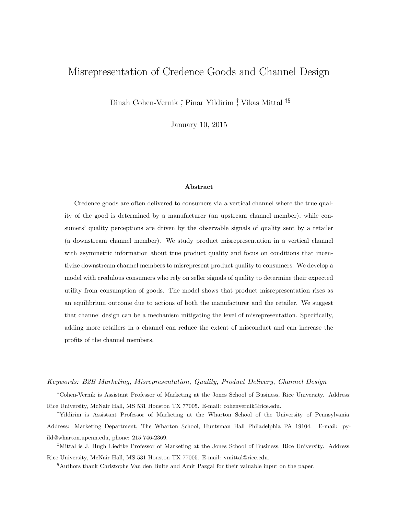# Misrepresentation of Credence Goods and Channel Design

Dinah Cohen-Vernik <sup>∗</sup> , Pinar Yildirim † , Vikas Mittal ‡§

January 10, 2015

#### Abstract

Credence goods are often delivered to consumers via a vertical channel where the true quality of the good is determined by a manufacturer (an upstream channel member), while consumers' quality perceptions are driven by the observable signals of quality sent by a retailer (a downstream channel member). We study product misrepresentation in a vertical channel with asymmetric information about true product quality and focus on conditions that incentivize downstream channel members to misrepresent product quality to consumers. We develop a model with credulous consumers who rely on seller signals of quality to determine their expected utility from consumption of goods. The model shows that product misrepresentation rises as an equilibrium outcome due to actions of both the manufacturer and the retailer. We suggest that channel design can be a mechanism mitigating the level of misrepresentation. Specifically, adding more retailers in a channel can reduce the extent of misconduct and can increase the profits of the channel members.

#### Keywords: B2B Marketing, Misrepresentation, Quality, Product Delivery, Channel Design

<sup>∗</sup>Cohen-Vernik is Assistant Professor of Marketing at the Jones School of Business, Rice University. Address: Rice University, McNair Hall, MS 531 Houston TX 77005. E-mail: cohenvernik@rice.edu.

†Yildirim is Assistant Professor of Marketing at the Wharton School of the University of Pennsylvania. Address: Marketing Department, The Wharton School, Huntsman Hall Philadelphia PA 19104. E-mail: pyild@wharton.upenn.edu, phone: 215 746-2369.

‡Mittal is J. Hugh Liedtke Professor of Marketing at the Jones School of Business, Rice University. Address: Rice University, McNair Hall, MS 531 Houston TX 77005. E-mail: vmittal@rice.edu.

§Authors thank Christophe Van den Bulte and Amit Pazgal for their valuable input on the paper.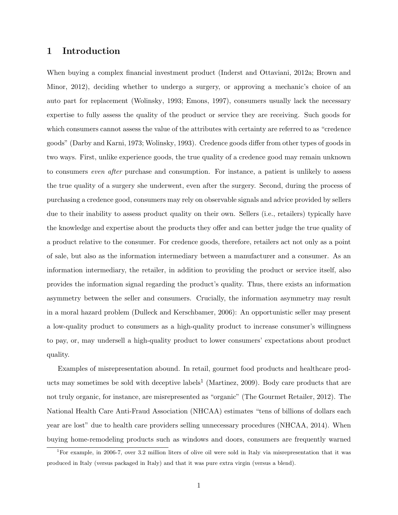## 1 Introduction

When buying a complex financial investment product (Inderst and Ottaviani, 2012a; Brown and Minor, 2012), deciding whether to undergo a surgery, or approving a mechanic's choice of an auto part for replacement (Wolinsky, 1993; Emons, 1997), consumers usually lack the necessary expertise to fully assess the quality of the product or service they are receiving. Such goods for which consumers cannot assess the value of the attributes with certainty are referred to as "credence goods" (Darby and Karni, 1973; Wolinsky, 1993). Credence goods differ from other types of goods in two ways. First, unlike experience goods, the true quality of a credence good may remain unknown to consumers even after purchase and consumption. For instance, a patient is unlikely to assess the true quality of a surgery she underwent, even after the surgery. Second, during the process of purchasing a credence good, consumers may rely on observable signals and advice provided by sellers due to their inability to assess product quality on their own. Sellers (i.e., retailers) typically have the knowledge and expertise about the products they offer and can better judge the true quality of a product relative to the consumer. For credence goods, therefore, retailers act not only as a point of sale, but also as the information intermediary between a manufacturer and a consumer. As an information intermediary, the retailer, in addition to providing the product or service itself, also provides the information signal regarding the product's quality. Thus, there exists an information asymmetry between the seller and consumers. Crucially, the information asymmetry may result in a moral hazard problem (Dulleck and Kerschbamer, 2006): An opportunistic seller may present a low-quality product to consumers as a high-quality product to increase consumer's willingness to pay, or, may undersell a high-quality product to lower consumers' expectations about product quality.

Examples of misrepresentation abound. In retail, gourmet food products and healthcare products may sometimes be sold with deceptive labels<sup>1</sup> (Martinez, 2009). Body care products that are not truly organic, for instance, are misrepresented as "organic" (The Gourmet Retailer, 2012). The National Health Care Anti-Fraud Association (NHCAA) estimates "tens of billions of dollars each year are lost" due to health care providers selling unnecessary procedures (NHCAA, 2014). When buying home-remodeling products such as windows and doors, consumers are frequently warned

<sup>&</sup>lt;sup>1</sup>For example, in 2006-7, over 3.2 million liters of olive oil were sold in Italy via misrepresentation that it was produced in Italy (versus packaged in Italy) and that it was pure extra virgin (versus a blend).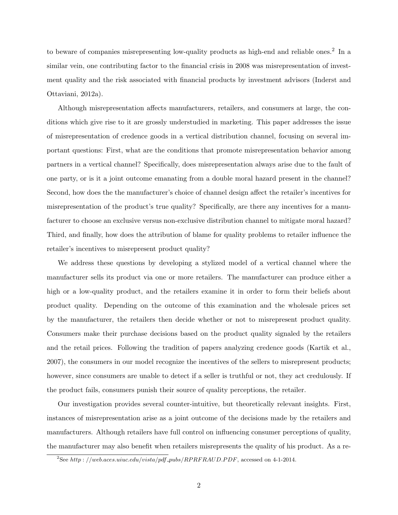to beware of companies misrepresenting low-quality products as high-end and reliable ones.<sup>2</sup> In a similar vein, one contributing factor to the financial crisis in 2008 was misrepresentation of investment quality and the risk associated with financial products by investment advisors (Inderst and Ottaviani, 2012a).

Although misrepresentation affects manufacturers, retailers, and consumers at large, the conditions which give rise to it are grossly understudied in marketing. This paper addresses the issue of misrepresentation of credence goods in a vertical distribution channel, focusing on several important questions: First, what are the conditions that promote misrepresentation behavior among partners in a vertical channel? Specifically, does misrepresentation always arise due to the fault of one party, or is it a joint outcome emanating from a double moral hazard present in the channel? Second, how does the the manufacturer's choice of channel design affect the retailer's incentives for misrepresentation of the product's true quality? Specifically, are there any incentives for a manufacturer to choose an exclusive versus non-exclusive distribution channel to mitigate moral hazard? Third, and finally, how does the attribution of blame for quality problems to retailer influence the retailer's incentives to misrepresent product quality?

We address these questions by developing a stylized model of a vertical channel where the manufacturer sells its product via one or more retailers. The manufacturer can produce either a high or a low-quality product, and the retailers examine it in order to form their beliefs about product quality. Depending on the outcome of this examination and the wholesale prices set by the manufacturer, the retailers then decide whether or not to misrepresent product quality. Consumers make their purchase decisions based on the product quality signaled by the retailers and the retail prices. Following the tradition of papers analyzing credence goods (Kartik et al., 2007), the consumers in our model recognize the incentives of the sellers to misrepresent products; however, since consumers are unable to detect if a seller is truthful or not, they act credulously. If the product fails, consumers punish their source of quality perceptions, the retailer.

Our investigation provides several counter-intuitive, but theoretically relevant insights. First, instances of misrepresentation arise as a joint outcome of the decisions made by the retailers and manufacturers. Although retailers have full control on influencing consumer perceptions of quality, the manufacturer may also benefit when retailers misrepresents the quality of his product. As a re-

<sup>&</sup>lt;sup>2</sup>See http://web.aces.uiuc.edu/vista/pdf\_pubs/RPRFRAUD.PDF, accessed on 4-1-2014.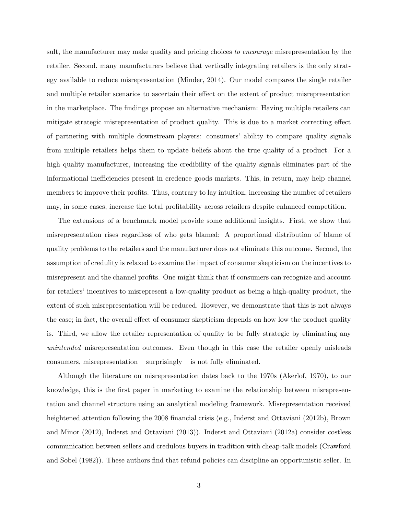sult, the manufacturer may make quality and pricing choices to encourage misrepresentation by the retailer. Second, many manufacturers believe that vertically integrating retailers is the only strategy available to reduce misrepresentation (Minder, 2014). Our model compares the single retailer and multiple retailer scenarios to ascertain their effect on the extent of product misrepresentation in the marketplace. The findings propose an alternative mechanism: Having multiple retailers can mitigate strategic misrepresentation of product quality. This is due to a market correcting effect of partnering with multiple downstream players: consumers' ability to compare quality signals from multiple retailers helps them to update beliefs about the true quality of a product. For a high quality manufacturer, increasing the credibility of the quality signals eliminates part of the informational inefficiencies present in credence goods markets. This, in return, may help channel members to improve their profits. Thus, contrary to lay intuition, increasing the number of retailers may, in some cases, increase the total profitability across retailers despite enhanced competition.

The extensions of a benchmark model provide some additional insights. First, we show that misrepresentation rises regardless of who gets blamed: A proportional distribution of blame of quality problems to the retailers and the manufacturer does not eliminate this outcome. Second, the assumption of credulity is relaxed to examine the impact of consumer skepticism on the incentives to misrepresent and the channel profits. One might think that if consumers can recognize and account for retailers' incentives to misrepresent a low-quality product as being a high-quality product, the extent of such misrepresentation will be reduced. However, we demonstrate that this is not always the case; in fact, the overall effect of consumer skepticism depends on how low the product quality is. Third, we allow the retailer representation of quality to be fully strategic by eliminating any unintended misrepresentation outcomes. Even though in this case the retailer openly misleads consumers, misrepresentation – surprisingly – is not fully eliminated.

Although the literature on misrepresentation dates back to the 1970s (Akerlof, 1970), to our knowledge, this is the first paper in marketing to examine the relationship between misrepresentation and channel structure using an analytical modeling framework. Misrepresentation received heightened attention following the 2008 financial crisis (e.g., Inderst and Ottaviani (2012b), Brown and Minor (2012), Inderst and Ottaviani (2013)). Inderst and Ottaviani (2012a) consider costless communication between sellers and credulous buyers in tradition with cheap-talk models (Crawford and Sobel (1982)). These authors find that refund policies can discipline an opportunistic seller. In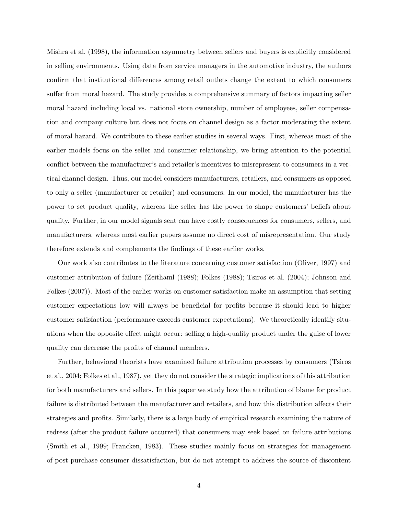Mishra et al. (1998), the information asymmetry between sellers and buyers is explicitly considered in selling environments. Using data from service managers in the automotive industry, the authors confirm that institutional differences among retail outlets change the extent to which consumers suffer from moral hazard. The study provides a comprehensive summary of factors impacting seller moral hazard including local vs. national store ownership, number of employees, seller compensation and company culture but does not focus on channel design as a factor moderating the extent of moral hazard. We contribute to these earlier studies in several ways. First, whereas most of the earlier models focus on the seller and consumer relationship, we bring attention to the potential conflict between the manufacturer's and retailer's incentives to misrepresent to consumers in a vertical channel design. Thus, our model considers manufacturers, retailers, and consumers as opposed to only a seller (manufacturer or retailer) and consumers. In our model, the manufacturer has the power to set product quality, whereas the seller has the power to shape customers' beliefs about quality. Further, in our model signals sent can have costly consequences for consumers, sellers, and manufacturers, whereas most earlier papers assume no direct cost of misrepresentation. Our study therefore extends and complements the findings of these earlier works.

Our work also contributes to the literature concerning customer satisfaction (Oliver, 1997) and customer attribution of failure (Zeithaml (1988); Folkes (1988); Tsiros et al. (2004); Johnson and Folkes (2007)). Most of the earlier works on customer satisfaction make an assumption that setting customer expectations low will always be beneficial for profits because it should lead to higher customer satisfaction (performance exceeds customer expectations). We theoretically identify situations when the opposite effect might occur: selling a high-quality product under the guise of lower quality can decrease the profits of channel members.

Further, behavioral theorists have examined failure attribution processes by consumers (Tsiros et al., 2004; Folkes et al., 1987), yet they do not consider the strategic implications of this attribution for both manufacturers and sellers. In this paper we study how the attribution of blame for product failure is distributed between the manufacturer and retailers, and how this distribution affects their strategies and profits. Similarly, there is a large body of empirical research examining the nature of redress (after the product failure occurred) that consumers may seek based on failure attributions (Smith et al., 1999; Francken, 1983). These studies mainly focus on strategies for management of post-purchase consumer dissatisfaction, but do not attempt to address the source of discontent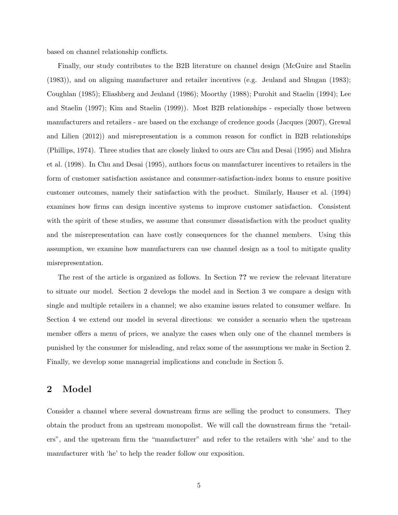based on channel relationship conflicts.

Finally, our study contributes to the B2B literature on channel design (McGuire and Staelin (1983)), and on aligning manufacturer and retailer incentives (e.g. Jeuland and Shugan (1983); Coughlan (1985); Eliashberg and Jeuland (1986); Moorthy (1988); Purohit and Staelin (1994); Lee and Staelin (1997); Kim and Staelin (1999)). Most B2B relationships - especially those between manufacturers and retailers - are based on the exchange of credence goods (Jacques (2007), Grewal and Lilien (2012)) and misrepresentation is a common reason for conflict in B2B relationships (Phillips, 1974). Three studies that are closely linked to ours are Chu and Desai (1995) and Mishra et al. (1998). In Chu and Desai (1995), authors focus on manufacturer incentives to retailers in the form of customer satisfaction assistance and consumer-satisfaction-index bonus to ensure positive customer outcomes, namely their satisfaction with the product. Similarly, Hauser et al. (1994) examines how firms can design incentive systems to improve customer satisfaction. Consistent with the spirit of these studies, we assume that consumer dissatisfaction with the product quality and the misrepresentation can have costly consequences for the channel members. Using this assumption, we examine how manufacturers can use channel design as a tool to mitigate quality misrepresentation.

The rest of the article is organized as follows. In Section ?? we review the relevant literature to situate our model. Section 2 develops the model and in Section 3 we compare a design with single and multiple retailers in a channel; we also examine issues related to consumer welfare. In Section 4 we extend our model in several directions: we consider a scenario when the upstream member offers a menu of prices, we analyze the cases when only one of the channel members is punished by the consumer for misleading, and relax some of the assumptions we make in Section 2. Finally, we develop some managerial implications and conclude in Section 5.

## 2 Model

Consider a channel where several downstream firms are selling the product to consumers. They obtain the product from an upstream monopolist. We will call the downstream firms the "retailers", and the upstream firm the "manufacturer" and refer to the retailers with 'she' and to the manufacturer with 'he' to help the reader follow our exposition.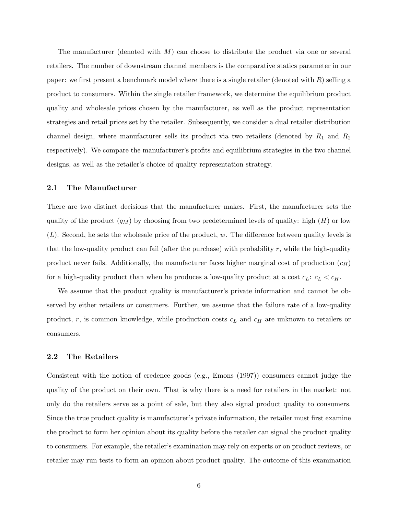The manufacturer (denoted with  $M$ ) can choose to distribute the product via one or several retailers. The number of downstream channel members is the comparative statics parameter in our paper: we first present a benchmark model where there is a single retailer (denoted with  $R$ ) selling a product to consumers. Within the single retailer framework, we determine the equilibrium product quality and wholesale prices chosen by the manufacturer, as well as the product representation strategies and retail prices set by the retailer. Subsequently, we consider a dual retailer distribution channel design, where manufacturer sells its product via two retailers (denoted by  $R_1$  and  $R_2$ ) respectively). We compare the manufacturer's profits and equilibrium strategies in the two channel designs, as well as the retailer's choice of quality representation strategy.

### 2.1 The Manufacturer

There are two distinct decisions that the manufacturer makes. First, the manufacturer sets the quality of the product  $(q_M)$  by choosing from two predetermined levels of quality: high  $(H)$  or low  $(L)$ . Second, he sets the wholesale price of the product, w. The difference between quality levels is that the low-quality product can fail (after the purchase) with probability  $r$ , while the high-quality product never fails. Additionally, the manufacturer faces higher marginal cost of production  $(c_H)$ for a high-quality product than when he produces a low-quality product at a cost  $c_L$ :  $c_L < c_H$ .

We assume that the product quality is manufacturer's private information and cannot be observed by either retailers or consumers. Further, we assume that the failure rate of a low-quality product, r, is common knowledge, while production costs  $c<sub>L</sub>$  and  $c<sub>H</sub>$  are unknown to retailers or consumers.

### 2.2 The Retailers

Consistent with the notion of credence goods (e.g., Emons (1997)) consumers cannot judge the quality of the product on their own. That is why there is a need for retailers in the market: not only do the retailers serve as a point of sale, but they also signal product quality to consumers. Since the true product quality is manufacturer's private information, the retailer must first examine the product to form her opinion about its quality before the retailer can signal the product quality to consumers. For example, the retailer's examination may rely on experts or on product reviews, or retailer may run tests to form an opinion about product quality. The outcome of this examination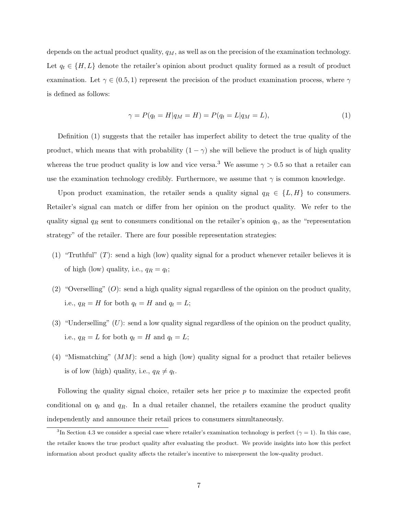depends on the actual product quality,  $q_M$ , as well as on the precision of the examination technology. Let  $q_t \in \{H, L\}$  denote the retailer's opinion about product quality formed as a result of product examination. Let  $\gamma \in (0.5, 1)$  represent the precision of the product examination process, where  $\gamma$ is defined as follows:

$$
\gamma = P(q_t = H | q_M = H) = P(q_t = L | q_M = L), \tag{1}
$$

Definition (1) suggests that the retailer has imperfect ability to detect the true quality of the product, which means that with probability  $(1 - \gamma)$  she will believe the product is of high quality whereas the true product quality is low and vice versa.<sup>3</sup> We assume  $\gamma > 0.5$  so that a retailer can use the examination technology credibly. Furthermore, we assume that  $\gamma$  is common knowledge.

Upon product examination, the retailer sends a quality signal  $q_R \in \{L, H\}$  to consumers. Retailer's signal can match or differ from her opinion on the product quality. We refer to the quality signal  $q_R$  sent to consumers conditional on the retailer's opinion  $q_t$ , as the "representation" strategy" of the retailer. There are four possible representation strategies:

- (1) "Truthful" (T): send a high (low) quality signal for a product whenever retailer believes it is of high (low) quality, i.e.,  $q_R = q_t$ ;
- (2) "Overselling"  $(O)$ : send a high quality signal regardless of the opinion on the product quality, i.e.,  $q_R = H$  for both  $q_t = H$  and  $q_t = L$ ;
- (3) "Underselling"  $(U)$ : send a low quality signal regardless of the opinion on the product quality, i.e.,  $q_R = L$  for both  $q_t = H$  and  $q_t = L$ ;
- (4) "Mismatching"  $(MM)$ : send a high (low) quality signal for a product that retailer believes is of low (high) quality, i.e.,  $q_R \neq q_t$ .

Following the quality signal choice, retailer sets her price p to maximize the expected profit conditional on  $q_t$  and  $q_R$ . In a dual retailer channel, the retailers examine the product quality independently and announce their retail prices to consumers simultaneously.

<sup>&</sup>lt;sup>3</sup>In Section 4.3 we consider a special case where retailer's examination technology is perfect ( $\gamma = 1$ ). In this case, the retailer knows the true product quality after evaluating the product. We provide insights into how this perfect information about product quality affects the retailer's incentive to misrepresent the low-quality product.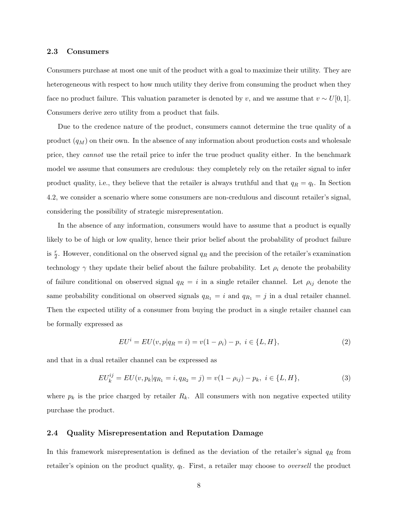#### 2.3 Consumers

Consumers purchase at most one unit of the product with a goal to maximize their utility. They are heterogeneous with respect to how much utility they derive from consuming the product when they face no product failure. This valuation parameter is denoted by v, and we assume that  $v \sim U[0, 1]$ . Consumers derive zero utility from a product that fails.

Due to the credence nature of the product, consumers cannot determine the true quality of a product  $(q_M)$  on their own. In the absence of any information about production costs and wholesale price, they cannot use the retail price to infer the true product quality either. In the benchmark model we assume that consumers are credulous: they completely rely on the retailer signal to infer product quality, i.e., they believe that the retailer is always truthful and that  $q_R = q_t$ . In Section 4.2, we consider a scenario where some consumers are non-credulous and discount retailer's signal, considering the possibility of strategic misrepresentation.

In the absence of any information, consumers would have to assume that a product is equally likely to be of high or low quality, hence their prior belief about the probability of product failure is  $\frac{r}{2}$ . However, conditional on the observed signal  $q_R$  and the precision of the retailer's examination technology  $\gamma$  they update their belief about the failure probability. Let  $\rho_i$  denote the probability of failure conditional on observed signal  $q_R = i$  in a single retailer channel. Let  $\rho_{ij}$  denote the same probability conditional on observed signals  $q_{R_1} = i$  and  $q_{R_1} = j$  in a dual retailer channel. Then the expected utility of a consumer from buying the product in a single retailer channel can be formally expressed as

$$
EU^i = EU(v, p|q_R = i) = v(1 - \rho_i) - p, \ i \in \{L, H\},\tag{2}
$$

and that in a dual retailer channel can be expressed as

$$
EU_k^{ij} = EU(v, p_k|q_{R_1} = i, q_{R_2} = j) = v(1 - \rho_{ij}) - p_k, \ i \in \{L, H\},\tag{3}
$$

where  $p_k$  is the price charged by retailer  $R_k$ . All consumers with non negative expected utility purchase the product.

### 2.4 Quality Misrepresentation and Reputation Damage

In this framework misrepresentation is defined as the deviation of the retailer's signal  $q_R$  from retailer's opinion on the product quality,  $q_t$ . First, a retailer may choose to *oversell* the product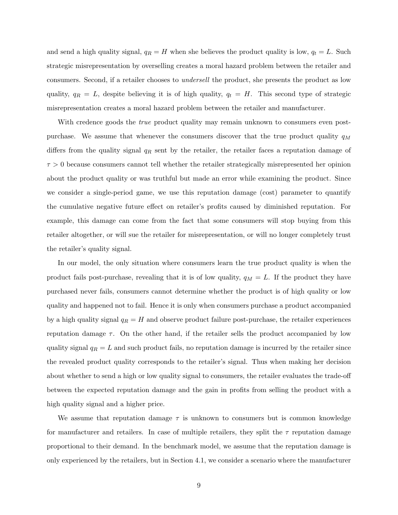and send a high quality signal,  $q_R = H$  when she believes the product quality is low,  $q_t = L$ . Such strategic misrepresentation by overselling creates a moral hazard problem between the retailer and consumers. Second, if a retailer chooses to undersell the product, she presents the product as low quality,  $q_R = L$ , despite believing it is of high quality,  $q_t = H$ . This second type of strategic misrepresentation creates a moral hazard problem between the retailer and manufacturer.

With credence goods the *true* product quality may remain unknown to consumers even postpurchase. We assume that whenever the consumers discover that the true product quality  $q_M$ differs from the quality signal  $q_R$  sent by the retailer, the retailer faces a reputation damage of  $\tau > 0$  because consumers cannot tell whether the retailer strategically misrepresented her opinion about the product quality or was truthful but made an error while examining the product. Since we consider a single-period game, we use this reputation damage (cost) parameter to quantify the cumulative negative future effect on retailer's profits caused by diminished reputation. For example, this damage can come from the fact that some consumers will stop buying from this retailer altogether, or will sue the retailer for misrepresentation, or will no longer completely trust the retailer's quality signal.

In our model, the only situation where consumers learn the true product quality is when the product fails post-purchase, revealing that it is of low quality,  $q_M = L$ . If the product they have purchased never fails, consumers cannot determine whether the product is of high quality or low quality and happened not to fail. Hence it is only when consumers purchase a product accompanied by a high quality signal  $q_R = H$  and observe product failure post-purchase, the retailer experiences reputation damage  $\tau$ . On the other hand, if the retailer sells the product accompanied by low quality signal  $q_R = L$  and such product fails, no reputation damage is incurred by the retailer since the revealed product quality corresponds to the retailer's signal. Thus when making her decision about whether to send a high or low quality signal to consumers, the retailer evaluates the trade-off between the expected reputation damage and the gain in profits from selling the product with a high quality signal and a higher price.

We assume that reputation damage  $\tau$  is unknown to consumers but is common knowledge for manufacturer and retailers. In case of multiple retailers, they split the  $\tau$  reputation damage proportional to their demand. In the benchmark model, we assume that the reputation damage is only experienced by the retailers, but in Section 4.1, we consider a scenario where the manufacturer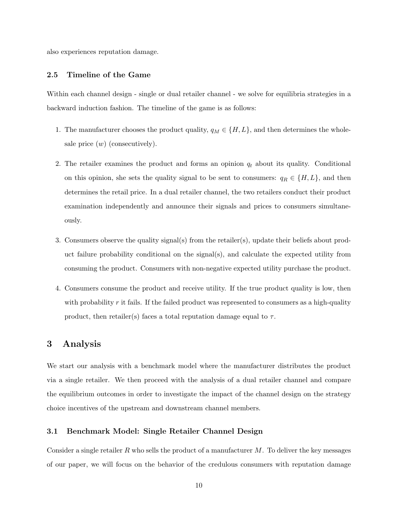also experiences reputation damage.

### 2.5 Timeline of the Game

Within each channel design - single or dual retailer channel - we solve for equilibria strategies in a backward induction fashion. The timeline of the game is as follows:

- 1. The manufacturer chooses the product quality,  $q_M \in \{H, L\}$ , and then determines the wholesale price  $(w)$  (consecutively).
- 2. The retailer examines the product and forms an opinion  $q_t$  about its quality. Conditional on this opinion, she sets the quality signal to be sent to consumers:  $q_R \in \{H, L\}$ , and then determines the retail price. In a dual retailer channel, the two retailers conduct their product examination independently and announce their signals and prices to consumers simultaneously.
- 3. Consumers observe the quality signal(s) from the retailer(s), update their beliefs about product failure probability conditional on the signal(s), and calculate the expected utility from consuming the product. Consumers with non-negative expected utility purchase the product.
- 4. Consumers consume the product and receive utility. If the true product quality is low, then with probability  $r$  it fails. If the failed product was represented to consumers as a high-quality product, then retailer(s) faces a total reputation damage equal to  $\tau$ .

### 3 Analysis

We start our analysis with a benchmark model where the manufacturer distributes the product via a single retailer. We then proceed with the analysis of a dual retailer channel and compare the equilibrium outcomes in order to investigate the impact of the channel design on the strategy choice incentives of the upstream and downstream channel members.

### 3.1 Benchmark Model: Single Retailer Channel Design

Consider a single retailer  $R$  who sells the product of a manufacturer  $M$ . To deliver the key messages of our paper, we will focus on the behavior of the credulous consumers with reputation damage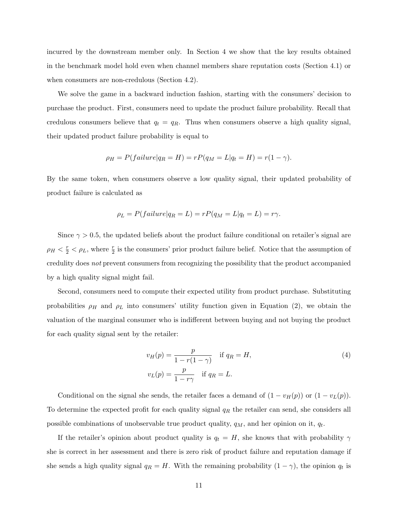incurred by the downstream member only. In Section 4 we show that the key results obtained in the benchmark model hold even when channel members share reputation costs (Section 4.1) or when consumers are non-credulous (Section 4.2).

We solve the game in a backward induction fashion, starting with the consumers' decision to purchase the product. First, consumers need to update the product failure probability. Recall that credulous consumers believe that  $q_t = q_R$ . Thus when consumers observe a high quality signal, their updated product failure probability is equal to

$$
\rho_H = P(failure|q_R = H) = rP(q_M = L|q_t = H) = r(1 - \gamma).
$$

By the same token, when consumers observe a low quality signal, their updated probability of product failure is calculated as

$$
\rho_L = P(failure|q_R = L) = rP(q_M = L|q_t = L) = r\gamma.
$$

Since  $\gamma > 0.5$ , the updated beliefs about the product failure conditional on retailer's signal are  $\rho_H < \frac{r}{2} < \rho_L$ , where  $\frac{r}{2}$  is the consumers' prior product failure belief. Notice that the assumption of credulity does not prevent consumers from recognizing the possibility that the product accompanied by a high quality signal might fail.

Second, consumers need to compute their expected utility from product purchase. Substituting probabilities  $\rho_H$  and  $\rho_L$  into consumers' utility function given in Equation (2), we obtain the valuation of the marginal consumer who is indifferent between buying and not buying the product for each quality signal sent by the retailer:

$$
v_H(p) = \frac{p}{1 - r(1 - \gamma)} \quad \text{if } q_R = H,
$$
  
\n
$$
v_L(p) = \frac{p}{1 - r\gamma} \quad \text{if } q_R = L.
$$
\n(4)

Conditional on the signal she sends, the retailer faces a demand of  $(1 - v_H(p))$  or  $(1 - v_L(p))$ . To determine the expected profit for each quality signal  $q_R$  the retailer can send, she considers all possible combinations of unobservable true product quality,  $q_M$ , and her opinion on it,  $q_t$ .

If the retailer's opinion about product quality is  $q_t = H$ , she knows that with probability  $\gamma$ she is correct in her assessment and there is zero risk of product failure and reputation damage if she sends a high quality signal  $q_R = H$ . With the remaining probability  $(1 - \gamma)$ , the opinion  $q_t$  is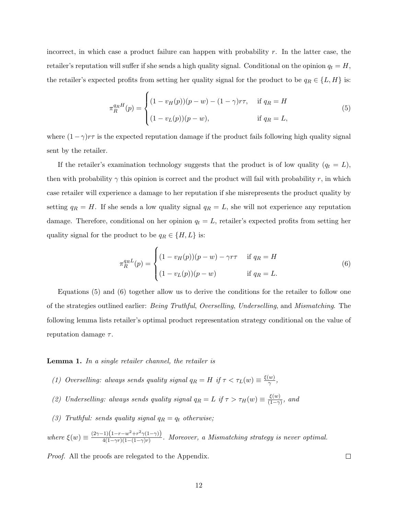incorrect, in which case a product failure can happen with probability  $r$ . In the latter case, the retailer's reputation will suffer if she sends a high quality signal. Conditional on the opinion  $q_t = H$ , the retailer's expected profits from setting her quality signal for the product to be  $q_R \in \{L, H\}$  is:

$$
\pi_R^{q_R H}(p) = \begin{cases}\n(1 - v_H(p))(p - w) - (1 - \gamma)r\tau, & \text{if } q_R = H \\
(1 - v_L(p))(p - w), & \text{if } q_R = L,\n\end{cases}
$$
\n(5)

where  $(1-\gamma)r\tau$  is the expected reputation damage if the product fails following high quality signal sent by the retailer.

If the retailer's examination technology suggests that the product is of low quality  $(q_t = L)$ , then with probability  $\gamma$  this opinion is correct and the product will fail with probability r, in which case retailer will experience a damage to her reputation if she misrepresents the product quality by setting  $q_R = H$ . If she sends a low quality signal  $q_R = L$ , she will not experience any reputation damage. Therefore, conditional on her opinion  $q_t = L$ , retailer's expected profits from setting her quality signal for the product to be  $q_R \in \{H, L\}$  is:

$$
\pi_R^{q_R L}(p) = \begin{cases}\n(1 - v_H(p))(p - w) - \gamma r \tau & \text{if } q_R = H \\
(1 - v_L(p))(p - w) & \text{if } q_R = L.\n\end{cases}
$$
\n(6)

Equations (5) and (6) together allow us to derive the conditions for the retailer to follow one of the strategies outlined earlier: Being Truthful, Overselling, Underselling, and Mismatching. The following lemma lists retailer's optimal product representation strategy conditional on the value of reputation damage  $\tau$ .

Lemma 1. In a single retailer channel, the retailer is

- (1) Overselling: always sends quality signal  $q_R = H$  if  $\tau < \tau_L(w) \equiv \frac{\xi(w)}{\gamma}$  $\frac{w_j}{\gamma},$
- (2) Underselling: always sends quality signal  $q_R = L$  if  $\tau > \tau_H(w) \equiv \frac{\xi(w)}{(1-\gamma)^2}$  $\frac{\xi(w)}{(1-\gamma)}$ , and
- (3) Truthful: sends quality signal  $q_R = q_t$  otherwise;

where  $\xi(w) \equiv \frac{(2\gamma - 1)(1 - r - w^2 + r^2 \gamma (1 - \gamma))}{4(1 - \gamma r)(1 - (1 - \gamma)r)}$  $\frac{4(1-\gamma)(1-\gamma-\mu+\nu+1)}{4(1-\gamma r)(1-(1-\gamma)r)}$ . Moreover, a Mismatching strategy is never optimal.

Proof. All the proofs are relegated to the Appendix.

 $\Box$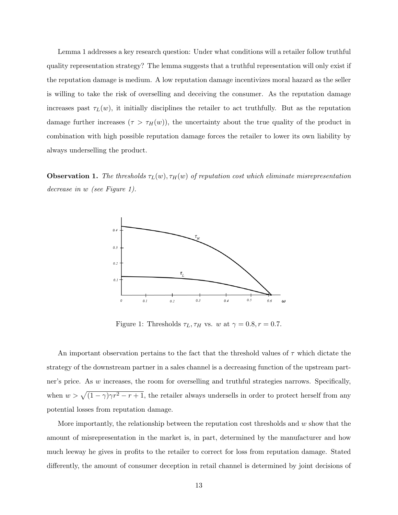Lemma 1 addresses a key research question: Under what conditions will a retailer follow truthful quality representation strategy? The lemma suggests that a truthful representation will only exist if the reputation damage is medium. A low reputation damage incentivizes moral hazard as the seller is willing to take the risk of overselling and deceiving the consumer. As the reputation damage increases past  $\tau_L(w)$ , it initially disciplines the retailer to act truthfully. But as the reputation damage further increases  $(\tau > \tau_H(w))$ , the uncertainty about the true quality of the product in combination with high possible reputation damage forces the retailer to lower its own liability by always underselling the product.

**Observation 1.** The thresholds  $\tau_L(w)$ ,  $\tau_H(w)$  of reputation cost which eliminate misrepresentation decrease in w (see Figure 1).



Figure 1: Thresholds  $\tau_L, \tau_H$  vs. w at  $\gamma = 0.8, r = 0.7$ .

An important observation pertains to the fact that the threshold values of  $\tau$  which dictate the strategy of the downstream partner in a sales channel is a decreasing function of the upstream partner's price. As w increases, the room for overselling and truthful strategies narrows. Specifically, when  $w > \sqrt{(1-\gamma)\gamma r^2 - r + 1}$ , the retailer always undersells in order to protect herself from any potential losses from reputation damage.

More importantly, the relationship between the reputation cost thresholds and w show that the amount of misrepresentation in the market is, in part, determined by the manufacturer and how much leeway he gives in profits to the retailer to correct for loss from reputation damage. Stated differently, the amount of consumer deception in retail channel is determined by joint decisions of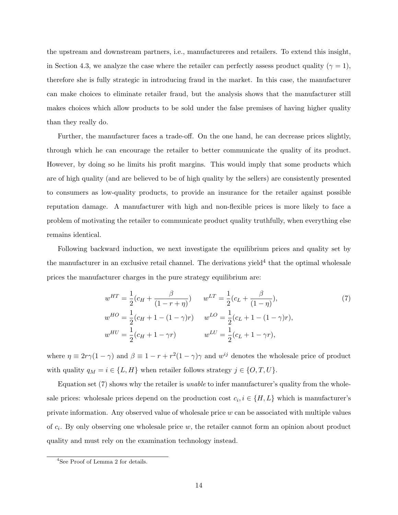the upstream and downstream partners, i.e., manufactureres and retailers. To extend this insight, in Section 4.3, we analyze the case where the retailer can perfectly assess product quality ( $\gamma = 1$ ), therefore she is fully strategic in introducing fraud in the market. In this case, the manufacturer can make choices to eliminate retailer fraud, but the analysis shows that the manufacturer still makes choices which allow products to be sold under the false premises of having higher quality than they really do.

Further, the manufacturer faces a trade-off. On the one hand, he can decrease prices slightly, through which he can encourage the retailer to better communicate the quality of its product. However, by doing so he limits his profit margins. This would imply that some products which are of high quality (and are believed to be of high quality by the sellers) are consistently presented to consumers as low-quality products, to provide an insurance for the retailer against possible reputation damage. A manufacturer with high and non-flexible prices is more likely to face a problem of motivating the retailer to communicate product quality truthfully, when everything else remains identical.

Following backward induction, we next investigate the equilibrium prices and quality set by the manufacturer in an exclusive retail channel. The derivations yield<sup>4</sup> that the optimal wholesale prices the manufacturer charges in the pure strategy equilibrium are:

$$
w^{HT} = \frac{1}{2}(c_H + \frac{\beta}{(1 - r + \eta)}) \qquad w^{LT} = \frac{1}{2}(c_L + \frac{\beta}{(1 - \eta)}),
$$
  
\n
$$
w^{HO} = \frac{1}{2}(c_H + 1 - (1 - \gamma)r) \qquad w^{LO} = \frac{1}{2}(c_L + 1 - (1 - \gamma)r),
$$
  
\n
$$
w^{HU} = \frac{1}{2}(c_H + 1 - \gamma r) \qquad w^{LU} = \frac{1}{2}(c_L + 1 - \gamma r),
$$
  
\n(7)

where  $\eta \equiv 2r\gamma(1-\gamma)$  and  $\beta \equiv 1-r+r^2(1-\gamma)\gamma$  and  $w^{ij}$  denotes the wholesale price of product with quality  $q_M = i \in \{L, H\}$  when retailer follows strategy  $j \in \{O, T, U\}$ .

Equation set (7) shows why the retailer is unable to infer manufacturer's quality from the wholesale prices: wholesale prices depend on the production cost  $c_i, i \in \{H, L\}$  which is manufacturer's private information. Any observed value of wholesale price  $w$  can be associated with multiple values of  $c_i$ . By only observing one wholesale price w, the retailer cannot form an opinion about product quality and must rely on the examination technology instead.

<sup>4</sup>See Proof of Lemma 2 for details.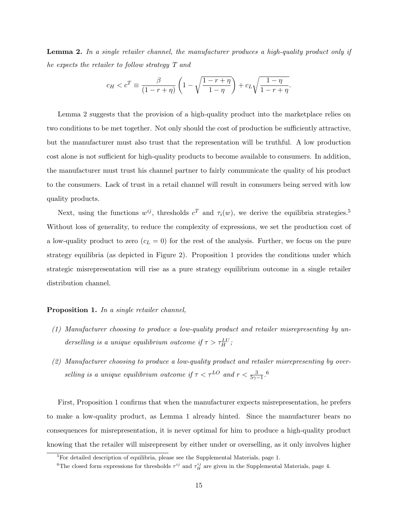**Lemma 2.** In a single retailer channel, the manufacturer produces a high-quality product only if he expects the retailer to follow strategy T and

$$
c_H < c^T \equiv \frac{\beta}{(1 - r + \eta)} \left( 1 - \sqrt{\frac{1 - r + \eta}{1 - \eta}} \right) + c_L \sqrt{\frac{1 - \eta}{1 - r + \eta}}.
$$

Lemma 2 suggests that the provision of a high-quality product into the marketplace relies on two conditions to be met together. Not only should the cost of production be sufficiently attractive, but the manufacturer must also trust that the representation will be truthful. A low production cost alone is not sufficient for high-quality products to become available to consumers. In addition, the manufacturer must trust his channel partner to fairly communicate the quality of his product to the consumers. Lack of trust in a retail channel will result in consumers being served with low quality products.

Next, using the functions  $w^{ij}$ , thresholds  $c^T$  and  $\tau_i(w)$ , we derive the equilibria strategies.<sup>5</sup> Without loss of generality, to reduce the complexity of expressions, we set the production cost of a low-quality product to zero  $(c<sub>L</sub> = 0)$  for the rest of the analysis. Further, we focus on the pure strategy equilibria (as depicted in Figure 2). Proposition 1 provides the conditions under which strategic misrepresentation will rise as a pure strategy equilibrium outcome in a single retailer distribution channel.

#### Proposition 1. In a single retailer channel,

- (1) Manufacturer choosing to produce a low-quality product and retailer misrepresenting by underselling is a unique equilibrium outcome if  $\tau > \tau_H^{LU}$ ;
- (2) Manufacturer choosing to produce a low-quality product and retailer misrepresenting by overselling is a unique equilibrium outcome if  $\tau < \tau^{LO}$  and  $r < \frac{3}{5\gamma - 1}$ .<sup>6</sup>

First, Proposition 1 confirms that when the manufacturer expects misrepresentation, he prefers to make a low-quality product, as Lemma 1 already hinted. Since the manufacturer bears no consequences for misrepresentation, it is never optimal for him to produce a high-quality product knowing that the retailer will misrepresent by either under or overselling, as it only involves higher

<sup>&</sup>lt;sup>5</sup>For detailed description of equilibria, please see the Supplemental Materials, page 1.

<sup>&</sup>lt;sup>6</sup>The closed form expressions for thresholds  $\tau^{ij}$  and  $\tau^{ij}_H$  are given in the Supplemental Materials, page 4.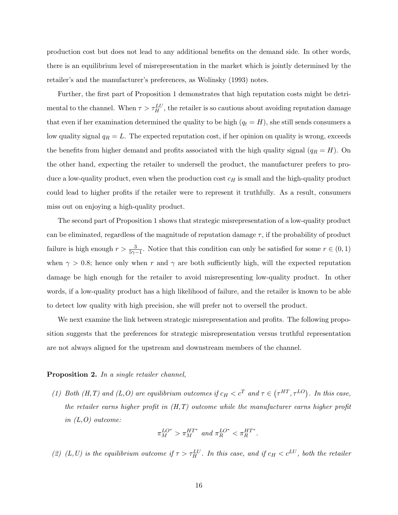production cost but does not lead to any additional benefits on the demand side. In other words, there is an equilibrium level of misrepresentation in the market which is jointly determined by the retailer's and the manufacturer's preferences, as Wolinsky (1993) notes.

Further, the first part of Proposition 1 demonstrates that high reputation costs might be detrimental to the channel. When  $\tau > \tau_H^{LU}$ , the retailer is so cautious about avoiding reputation damage that even if her examination determined the quality to be high  $(q_t = H)$ , she still sends consumers a low quality signal  $q_R = L$ . The expected reputation cost, if her opinion on quality is wrong, exceeds the benefits from higher demand and profits associated with the high quality signal ( $q_R = H$ ). On the other hand, expecting the retailer to undersell the product, the manufacturer prefers to produce a low-quality product, even when the production cost  $c_H$  is small and the high-quality product could lead to higher profits if the retailer were to represent it truthfully. As a result, consumers miss out on enjoying a high-quality product.

The second part of Proposition 1 shows that strategic misrepresentation of a low-quality product can be eliminated, regardless of the magnitude of reputation damage  $\tau$ , if the probability of product failure is high enough  $r > \frac{3}{5\gamma - 1}$ . Notice that this condition can only be satisfied for some  $r \in (0, 1)$ when  $\gamma > 0.8$ ; hence only when r and  $\gamma$  are both sufficiently high, will the expected reputation damage be high enough for the retailer to avoid misrepresenting low-quality product. In other words, if a low-quality product has a high likelihood of failure, and the retailer is known to be able to detect low quality with high precision, she will prefer not to oversell the product.

We next examine the link between strategic misrepresentation and profits. The following proposition suggests that the preferences for strategic misrepresentation versus truthful representation are not always aligned for the upstream and downstream members of the channel.

#### Proposition 2. In a single retailer channel,

(1) Both (H,T) and (L,O) are equilibrium outcomes if  $c_H < c^T$  and  $\tau \in (\tau^{HT}, \tau^{LO})$ . In this case, the retailer earns higher profit in  $(H,T)$  outcome while the manufacturer earns higher profit in  $(L, O)$  outcome:

$$
\pi_M^{LO^*} > \pi_M^{HT^*} \text{ and } \pi_R^{LO^*} < \pi_R^{HT^*}.
$$

(2) (L,U) is the equilibrium outcome if  $\tau > \tau_H^{LU}$ . In this case, and if  $c_H < c^{LU}$ , both the retailer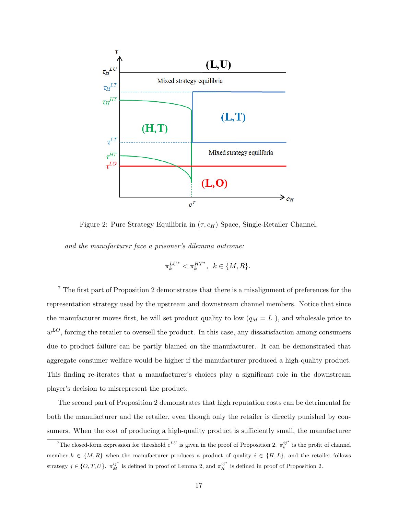

Figure 2: Pure Strategy Equilibria in  $(\tau, c_H)$  Space, Single-Retailer Channel.

and the manufacturer face a prisoner's dilemma outcome:

$$
\pi_k^{LU^*} < \pi_k^{HT^*}, \ \ k \in \{M, R\}.
$$

<sup>7</sup> The first part of Proposition 2 demonstrates that there is a misalignment of preferences for the representation strategy used by the upstream and downstream channel members. Notice that since the manufacturer moves first, he will set product quality to low  $(q_M = L)$ , and wholesale price to  $w^{LO}$ , forcing the retailer to oversell the product. In this case, any dissatisfaction among consumers due to product failure can be partly blamed on the manufacturer. It can be demonstrated that aggregate consumer welfare would be higher if the manufacturer produced a high-quality product. This finding re-iterates that a manufacturer's choices play a significant role in the downstream player's decision to misrepresent the product.

The second part of Proposition 2 demonstrates that high reputation costs can be detrimental for both the manufacturer and the retailer, even though only the retailer is directly punished by consumers. When the cost of producing a high-quality product is sufficiently small, the manufacturer

<sup>&</sup>lt;sup>7</sup>The closed-form expression for threshold  $c^{LU}$  is given in the proof of Proposition 2.  $\pi_k^{ij^*}$  is the profit of channel member  $k \in \{M, R\}$  when the manufacturer produces a product of quality  $i \in \{H, L\}$ , and the retailer follows strategy  $j \in \{O, T, U\}$ .  $\pi_M^{ij^*}$  is defined in proof of Lemma 2, and  $\pi_R^{ij^*}$  is defined in proof of Proposition 2.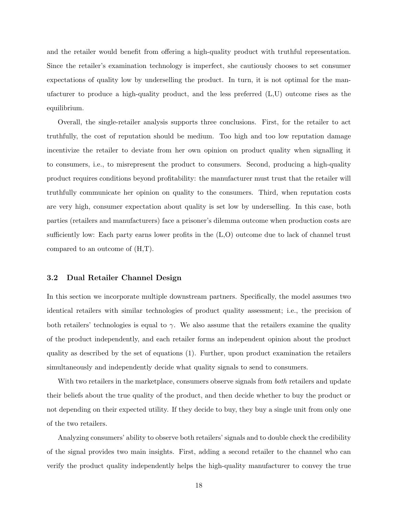and the retailer would benefit from offering a high-quality product with truthful representation. Since the retailer's examination technology is imperfect, she cautiously chooses to set consumer expectations of quality low by underselling the product. In turn, it is not optimal for the manufacturer to produce a high-quality product, and the less preferred (L,U) outcome rises as the equilibrium.

Overall, the single-retailer analysis supports three conclusions. First, for the retailer to act truthfully, the cost of reputation should be medium. Too high and too low reputation damage incentivize the retailer to deviate from her own opinion on product quality when signalling it to consumers, i.e., to misrepresent the product to consumers. Second, producing a high-quality product requires conditions beyond profitability: the manufacturer must trust that the retailer will truthfully communicate her opinion on quality to the consumers. Third, when reputation costs are very high, consumer expectation about quality is set low by underselling. In this case, both parties (retailers and manufacturers) face a prisoner's dilemma outcome when production costs are sufficiently low: Each party earns lower profits in the (L,O) outcome due to lack of channel trust compared to an outcome of (H,T).

### 3.2 Dual Retailer Channel Design

In this section we incorporate multiple downstream partners. Specifically, the model assumes two identical retailers with similar technologies of product quality assessment; i.e., the precision of both retailers' technologies is equal to  $\gamma$ . We also assume that the retailers examine the quality of the product independently, and each retailer forms an independent opinion about the product quality as described by the set of equations (1). Further, upon product examination the retailers simultaneously and independently decide what quality signals to send to consumers.

With two retailers in the marketplace, consumers observe signals from *both* retailers and update their beliefs about the true quality of the product, and then decide whether to buy the product or not depending on their expected utility. If they decide to buy, they buy a single unit from only one of the two retailers.

Analyzing consumers' ability to observe both retailers' signals and to double check the credibility of the signal provides two main insights. First, adding a second retailer to the channel who can verify the product quality independently helps the high-quality manufacturer to convey the true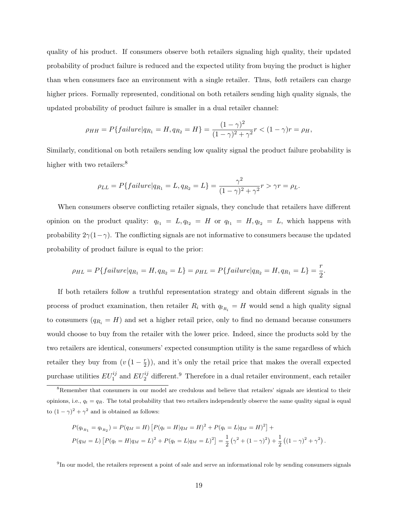quality of his product. If consumers observe both retailers signaling high quality, their updated probability of product failure is reduced and the expected utility from buying the product is higher than when consumers face an environment with a single retailer. Thus, both retailers can charge higher prices. Formally represented, conditional on both retailers sending high quality signals, the updated probability of product failure is smaller in a dual retailer channel:

$$
\rho_{HH} = P\{failure|q_{R_1} = H, q_{R_2} = H\} = \frac{(1 - \gamma)^2}{(1 - \gamma)^2 + \gamma^2}r < (1 - \gamma)r = \rho_H,
$$

Similarly, conditional on both retailers sending low quality signal the product failure probability is higher with two retailers:<sup>8</sup>

$$
\rho_{LL} = P\{failure|q_{R_1} = L, q_{R_2} = L\} = \frac{\gamma^2}{(1 - \gamma)^2 + \gamma^2}r > \gamma r = \rho_L.
$$

When consumers observe conflicting retailer signals, they conclude that retailers have different opinion on the product quality:  $q_{t_1} = L, q_{t_2} = H$  or  $q_{t_1} = H, q_{t_2} = L$ , which happens with probability  $2\gamma(1-\gamma)$ . The conflicting signals are not informative to consumers because the updated probability of product failure is equal to the prior:

$$
\rho_{HL} = P\{failure|q_{R_1} = H, q_{R_2} = L\} = \rho_{HL} = P\{failure|q_{R_2} = H, q_{R_1} = L\} = \frac{r}{2}.
$$

If both retailers follow a truthful representation strategy and obtain different signals in the process of product examination, then retailer  $R_i$  with  $q_{t_{R_i}} = H$  would send a high quality signal to consumers  $(q_{R_i} = H)$  and set a higher retail price, only to find no demand because consumers would choose to buy from the retailer with the lower price. Indeed, since the products sold by the two retailers are identical, consumers' expected consumption utility is the same regardless of which retailer they buy from  $(v(1-\frac{r}{2}))$  $(\frac{r}{2})$ , and it's only the retail price that makes the overall expected purchase utilities  $EU_1^{ij}$  and  $EU_2^{ij}$  different.<sup>9</sup> Therefore in a dual retailer environment, each retailer

$$
P(q_{t_{R_1}} = q_{t_{R_2}}) = P(q_M = H) [P(q_t = H|q_M = H)^2 + P(q_t = L|q_M = H)^2] +
$$
  
\n
$$
P(q_M = L) [P(q_t = H|q_M = L)^2 + P(q_t = L|q_M = L)^2] = \frac{1}{2} (\gamma^2 + (1 - \gamma)^2) + \frac{1}{2} ((1 - \gamma)^2 + \gamma^2).
$$

<sup>9</sup>In our model, the retailers represent a point of sale and serve an informational role by sending consumers signals

<sup>&</sup>lt;sup>8</sup>Remember that consumers in our model are credulous and believe that retailers' signals are identical to their opinions, i.e.,  $q_t = q_R$ . The total probability that two retailers independently observe the same quality signal is equal to  $(1 - \gamma)^2 + \gamma^2$  and is obtained as follows: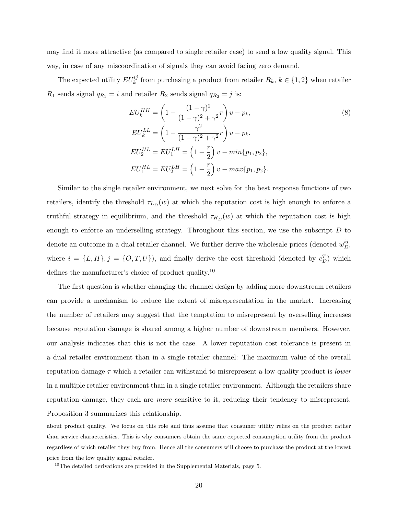may find it more attractive (as compared to single retailer case) to send a low quality signal. This way, in case of any miscoordination of signals they can avoid facing zero demand.

The expected utility  $EU_k^{ij}$  from purchasing a product from retailer  $R_k$ ,  $k \in \{1,2\}$  when retailer  $R_1$  sends signal  $q_{R_1} = i$  and retailer  $R_2$  sends signal  $q_{R_2} = j$  is:

$$
EU_k^{HH} = \left(1 - \frac{(1 - \gamma)^2}{(1 - \gamma)^2 + \gamma^2}r\right)v - p_k,
$$
  
\n
$$
EU_k^{LL} = \left(1 - \frac{\gamma^2}{(1 - \gamma)^2 + \gamma^2}r\right)v - p_k,
$$
  
\n
$$
EU_2^{HL} = EU_1^{LH} = \left(1 - \frac{r}{2}\right)v - min\{p_1, p_2\},
$$
  
\n
$$
EU_1^{HL} = EU_2^{LH} = \left(1 - \frac{r}{2}\right)v - max\{p_1, p_2\}.
$$
\n(8)

Similar to the single retailer environment, we next solve for the best response functions of two retailers, identify the threshold  $\tau_{L_D}(w)$  at which the reputation cost is high enough to enforce a truthful strategy in equilibrium, and the threshold  $\tau_{H_D}(w)$  at which the reputation cost is high enough to enforce an underselling strategy. Throughout this section, we use the subscript  $D$  to denote an outcome in a dual retailer channel. We further derive the wholesale prices (denoted  $w_D^{ij}$ , where  $i = \{L, H\}, j = \{O, T, U\}$ , and finally derive the cost threshold (denoted by  $c_D^T$ ) which defines the manufacturer's choice of product quality.<sup>10</sup>

The first question is whether changing the channel design by adding more downstream retailers can provide a mechanism to reduce the extent of misrepresentation in the market. Increasing the number of retailers may suggest that the temptation to misrepresent by overselling increases because reputation damage is shared among a higher number of downstream members. However, our analysis indicates that this is not the case. A lower reputation cost tolerance is present in a dual retailer environment than in a single retailer channel: The maximum value of the overall reputation damage  $\tau$  which a retailer can withstand to misrepresent a low-quality product is *lower* in a multiple retailer environment than in a single retailer environment. Although the retailers share reputation damage, they each are more sensitive to it, reducing their tendency to misrepresent. Proposition 3 summarizes this relationship.

about product quality. We focus on this role and thus assume that consumer utility relies on the product rather than service characteristics. This is why consumers obtain the same expected consumption utility from the product regardless of which retailer they buy from. Hence all the consumers will choose to purchase the product at the lowest price from the low quality signal retailer.

 $10$ The detailed derivations are provided in the Supplemental Materials, page 5.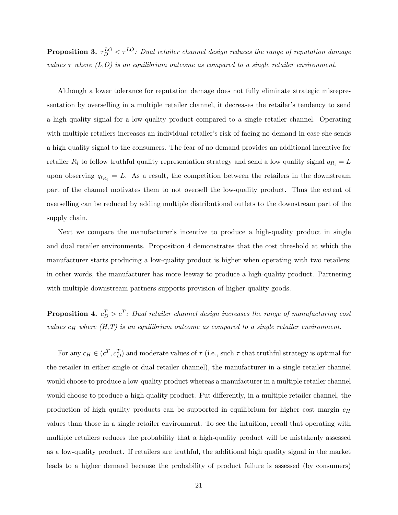**Proposition 3.**  $\tau_D^{LO} < \tau^{LO}$ : Dual retailer channel design reduces the range of reputation damage values  $\tau$  where  $(L, O)$  is an equilibrium outcome as compared to a single retailer environment.

Although a lower tolerance for reputation damage does not fully eliminate strategic misrepresentation by overselling in a multiple retailer channel, it decreases the retailer's tendency to send a high quality signal for a low-quality product compared to a single retailer channel. Operating with multiple retailers increases an individual retailer's risk of facing no demand in case she sends a high quality signal to the consumers. The fear of no demand provides an additional incentive for retailer  $R_i$  to follow truthful quality representation strategy and send a low quality signal  $q_{R_i} = L$ upon observing  $q_{t_{R_i}} = L$ . As a result, the competition between the retailers in the downstream part of the channel motivates them to not oversell the low-quality product. Thus the extent of overselling can be reduced by adding multiple distributional outlets to the downstream part of the supply chain.

Next we compare the manufacturer's incentive to produce a high-quality product in single and dual retailer environments. Proposition 4 demonstrates that the cost threshold at which the manufacturer starts producing a low-quality product is higher when operating with two retailers; in other words, the manufacturer has more leeway to produce a high-quality product. Partnering with multiple downstream partners supports provision of higher quality goods.

**Proposition 4.**  $c_D^T > c^T$ : Dual retailer channel design increases the range of manufacturing cost values  $c_H$  where  $(H, T)$  is an equilibrium outcome as compared to a single retailer environment.

For any  $c_H \in (c^T, c_D^T)$  and moderate values of  $\tau$  (i.e., such  $\tau$  that truthful strategy is optimal for the retailer in either single or dual retailer channel), the manufacturer in a single retailer channel would choose to produce a low-quality product whereas a manufacturer in a multiple retailer channel would choose to produce a high-quality product. Put differently, in a multiple retailer channel, the production of high quality products can be supported in equilibrium for higher cost margin  $c_H$ values than those in a single retailer environment. To see the intuition, recall that operating with multiple retailers reduces the probability that a high-quality product will be mistakenly assessed as a low-quality product. If retailers are truthful, the additional high quality signal in the market leads to a higher demand because the probability of product failure is assessed (by consumers)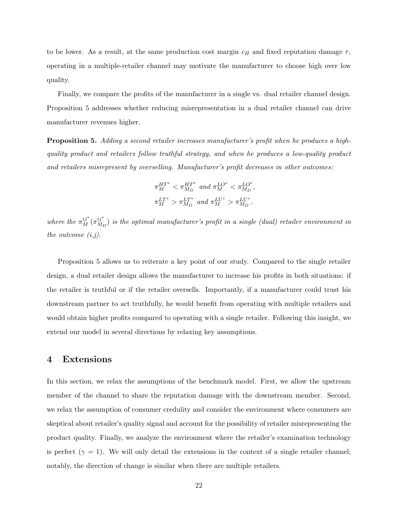to be lower. As a result, at the same production cost margin  $c_H$  and fixed reputation damage  $\tau$ , operating in a multiple-retailer channel may motivate the manufacturer to choose high over low quality.

Finally, we compare the profits of the manufacturer in a single vs. dual retailer channel design. Proposition 5 addresses whether reducing misrepresentation in a dual retailer channel can drive manufacturer revenues higher.

Proposition 5. Adding a second retailer increases manufacturer's profit when he produces a highquality product and retailers follow truthful strategy, and when he produces a low-quality product and retailers misrepresent by overselling. Manufacturer's profit decreases in other outcomes:

$$
\begin{aligned} \pi_M^{HT^*} &< \pi_{M_D}^{HT^*} \text{ and } \pi_M^{LO^*} &< \pi_{M_D}^{LO^*}, \\ \pi_M^{LT^*} &> \pi_{M_D}^{LT^*} \text{ and } \pi_M^{LU^*} &> \pi_{M_D}^{LU^*}. \end{aligned}
$$

where the  $\pi_M^{ij^\ast}(\pi_{M_I}^{ij^\ast}$  $\binom{y}{M_D}$  is the optimal manufacturer's profit in a single (dual) retailer environment in the outcome  $(i,j)$ .

Proposition 5 allows us to reiterate a key point of our study. Compared to the single retailer design, a dual retailer design allows the manufacturer to increase his profits in both situations: if the retailer is truthful or if the retailer oversells. Importantly, if a manufacturer could trust his downstream partner to act truthfully, he would benefit from operating with multiple retailers and would obtain higher profits compared to operating with a single retailer. Following this insight, we extend our model in several directions by relaxing key assumptions.

## 4 Extensions

In this section, we relax the assumptions of the benchmark model. First, we allow the upstream member of the channel to share the reputation damage with the downstream member. Second, we relax the assumption of consumer credulity and consider the environment where consumers are skeptical about retailer's quality signal and account for the possibility of retailer misrepresenting the product quality. Finally, we analyze the environment where the retailer's examination technology is perfect  $(\gamma = 1)$ . We will only detail the extensions in the context of a single retailer channel; notably, the direction of change is similar when there are multiple retailers.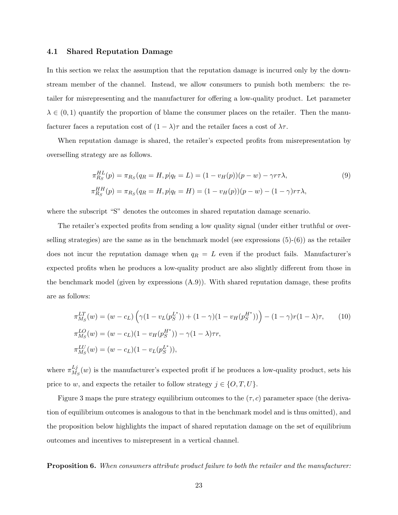### 4.1 Shared Reputation Damage

In this section we relax the assumption that the reputation damage is incurred only by the downstream member of the channel. Instead, we allow consumers to punish both members: the retailer for misrepresenting and the manufacturer for offering a low-quality product. Let parameter  $\lambda \in (0,1)$  quantify the proportion of blame the consumer places on the retailer. Then the manufacturer faces a reputation cost of  $(1 - \lambda)\tau$  and the retailer faces a cost of  $\lambda\tau$ .

When reputation damage is shared, the retailer's expected profits from misrepresentation by overselling strategy are as follows.

$$
\pi_{R_S}^{HL}(p) = \pi_{R_S}(q_R = H, p|q_t = L) = (1 - v_H(p))(p - w) - \gamma r \tau \lambda,
$$
\n(9)  
\n
$$
\pi_{R_S}^{HH}(p) = \pi_{R_S}(q_R = H, p|q_t = H) = (1 - v_H(p))(p - w) - (1 - \gamma)r\tau\lambda,
$$

where the subscript "S" denotes the outcomes in shared reputation damage scenario.

The retailer's expected profits from sending a low quality signal (under either truthful or overselling strategies) are the same as in the benchmark model (see expressions  $(5)-(6)$ ) as the retailer does not incur the reputation damage when  $q_R = L$  even if the product fails. Manufacturer's expected profits when he produces a low-quality product are also slightly different from those in the benchmark model (given by expressions  $(A.9)$ ). With shared reputation damage, these profits are as follows:

$$
\pi_{M_S}^{LT}(w) = (w - c_L) \left( \gamma (1 - v_L(p_S^{L^*})) + (1 - \gamma)(1 - v_H(p_S^{H^*})) \right) - (1 - \gamma)r(1 - \lambda)\tau, \qquad (10)
$$
  
\n
$$
\pi_{M_S}^{LO}(w) = (w - c_L)(1 - v_H(p_S^{H^*})) - \gamma (1 - \lambda)\tau r,
$$
  
\n
$$
\pi_{M_S}^{LU}(w) = (w - c_L)(1 - v_L(p_S^{L^*})),
$$

where  $\pi_M^{Lj}$  $\frac{LJ}{M_S}(w)$  is the manufacturer's expected profit if he produces a low-quality product, sets his price to w, and expects the retailer to follow strategy  $j \in \{O, T, U\}$ .

Figure 3 maps the pure strategy equilibrium outcomes to the  $(\tau, c)$  parameter space (the derivation of equilibrium outcomes is analogous to that in the benchmark model and is thus omitted), and the proposition below highlights the impact of shared reputation damage on the set of equilibrium outcomes and incentives to misrepresent in a vertical channel.

Proposition 6. When consumers attribute product failure to both the retailer and the manufacturer: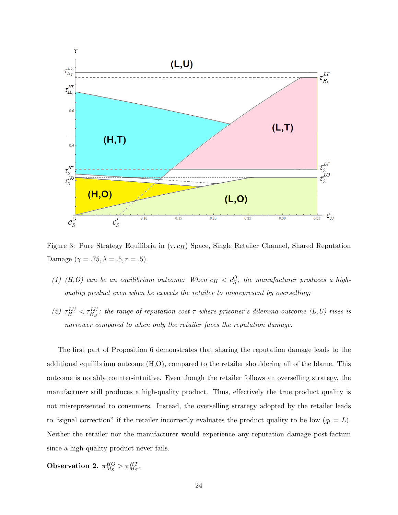

Figure 3: Pure Strategy Equilibria in  $(\tau, c_H)$  Space, Single Retailer Channel, Shared Reputation Damage ( $\gamma = .75, \lambda = .5, r = .5$ ).

- (1) (H,O) can be an equilibrium outcome: When  $c_H < c_S^O$ , the manufacturer produces a highquality product even when he expects the retailer to misrepresent by overselling;
- (2)  $\tau_H^{LU} < \tau_{H_S}^{LU}$ : the range of reputation cost  $\tau$  where prisoner's dilemma outcome (L,U) rises is narrower compared to when only the retailer faces the reputation damage.

The first part of Proposition 6 demonstrates that sharing the reputation damage leads to the additional equilibrium outcome (H,O), compared to the retailer shouldering all of the blame. This outcome is notably counter-intuitive. Even though the retailer follows an overselling strategy, the manufacturer still produces a high-quality product. Thus, effectively the true product quality is not misrepresented to consumers. Instead, the overselling strategy adopted by the retailer leads to "signal correction" if the retailer incorrectly evaluates the product quality to be low  $(q_t = L)$ . Neither the retailer nor the manufacturer would experience any reputation damage post-factum since a high-quality product never fails.

Observation 2.  $\pi_{M_S}^{HO} > \pi_{M_S}^{HT}$ .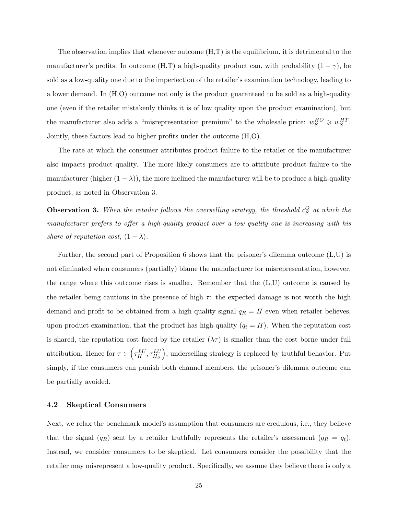The observation implies that whenever outcome  $(H,T)$  is the equilibrium, it is detrimental to the manufacturer's profits. In outcome (H,T) a high-quality product can, with probability  $(1 - \gamma)$ , be sold as a low-quality one due to the imperfection of the retailer's examination technology, leading to a lower demand. In (H,O) outcome not only is the product guaranteed to be sold as a high-quality one (even if the retailer mistakenly thinks it is of low quality upon the product examination), but the manufacturer also adds a "misrepresentation premium" to the wholesale price:  $w_S^{HO} \geq w_S^{HT}$ . Jointly, these factors lead to higher profits under the outcome (H,O).

The rate at which the consumer attributes product failure to the retailer or the manufacturer also impacts product quality. The more likely consumers are to attribute product failure to the manufacturer (higher  $(1 - \lambda)$ ), the more inclined the manufacturer will be to produce a high-quality product, as noted in Observation 3.

**Observation 3.** When the retailer follows the overselling strategy, the threshold  $c_S^O$  at which the manufacturer prefers to offer a high-quality product over a low quality one is increasing with his share of reputation cost,  $(1 - \lambda)$ .

Further, the second part of Proposition 6 shows that the prisoner's dilemma outcome (L,U) is not eliminated when consumers (partially) blame the manufacturer for misrepresentation, however, the range where this outcome rises is smaller. Remember that the (L,U) outcome is caused by the retailer being cautious in the presence of high  $\tau$ : the expected damage is not worth the high demand and profit to be obtained from a high quality signal  $q_R = H$  even when retailer believes, upon product examination, that the product has high-quality  $(q_t = H)$ . When the reputation cost is shared, the reputation cost faced by the retailer  $(\lambda \tau)$  is smaller than the cost borne under full attribution. Hence for  $\tau \in \left(\tau_H^{LU}, \tau_{H_S}^{LU}\right)$ , underselling strategy is replaced by truthful behavior. Put simply, if the consumers can punish both channel members, the prisoner's dilemma outcome can be partially avoided.

#### 4.2 Skeptical Consumers

Next, we relax the benchmark model's assumption that consumers are credulous, i.e., they believe that the signal  $(q_R)$  sent by a retailer truthfully represents the retailer's assessment  $(q_R = q_t)$ . Instead, we consider consumers to be skeptical. Let consumers consider the possibility that the retailer may misrepresent a low-quality product. Specifically, we assume they believe there is only a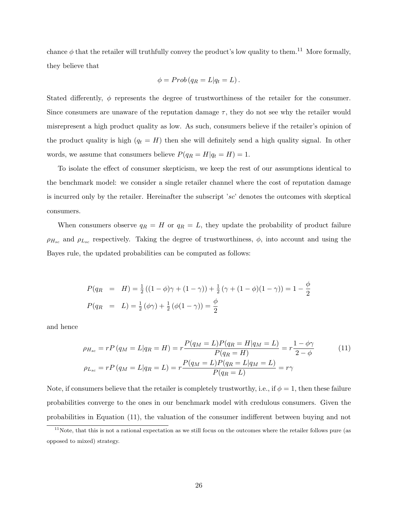chance  $\phi$  that the retailer will truthfully convey the product's low quality to them.<sup>11</sup> More formally, they believe that

$$
\phi = Prob(q_R = L|q_t = L).
$$

Stated differently,  $\phi$  represents the degree of trustworthiness of the retailer for the consumer. Since consumers are unaware of the reputation damage  $\tau$ , they do not see why the retailer would misrepresent a high product quality as low. As such, consumers believe if the retailer's opinion of the product quality is high  $(q_t = H)$  then she will definitely send a high quality signal. In other words, we assume that consumers believe  $P(q_R = H|q_t = H) = 1$ .

To isolate the effect of consumer skepticism, we keep the rest of our assumptions identical to the benchmark model: we consider a single retailer channel where the cost of reputation damage is incurred only by the retailer. Hereinafter the subscript 'sc' denotes the outcomes with skeptical consumers.

When consumers observe  $q_R = H$  or  $q_R = L$ , they update the probability of product failure  $\rho_{H_{sc}}$  and  $\rho_{L_{sc}}$  respectively. Taking the degree of trustworthiness,  $\phi$ , into account and using the Bayes rule, the updated probabilities can be computed as follows:

$$
P(q_R = H) = \frac{1}{2}((1 - \phi)\gamma + (1 - \gamma)) + \frac{1}{2}(\gamma + (1 - \phi)(1 - \gamma)) = 1 - \frac{\phi}{2}
$$
  

$$
P(q_R = L) = \frac{1}{2}(\phi\gamma) + \frac{1}{2}(\phi(1 - \gamma)) = \frac{\phi}{2}
$$

and hence

$$
\rho_{H_{sc}} = rP(q_M = L|q_R = H) = r\frac{P(q_M = L)P(q_R = H|q_M = L)}{P(q_R = H)} = r\frac{1 - \phi\gamma}{2 - \phi}
$$
(11)  

$$
\rho_{L_{sc}} = rP(q_M = L|q_R = L) = r\frac{P(q_M = L)P(q_R = L|q_M = L)}{P(q_R = L)} = r\gamma
$$

Note, if consumers believe that the retailer is completely trustworthy, i.e., if  $\phi = 1$ , then these failure probabilities converge to the ones in our benchmark model with credulous consumers. Given the probabilities in Equation (11), the valuation of the consumer indifferent between buying and not

 $11$ Note, that this is not a rational expectation as we still focus on the outcomes where the retailer follows pure (as opposed to mixed) strategy.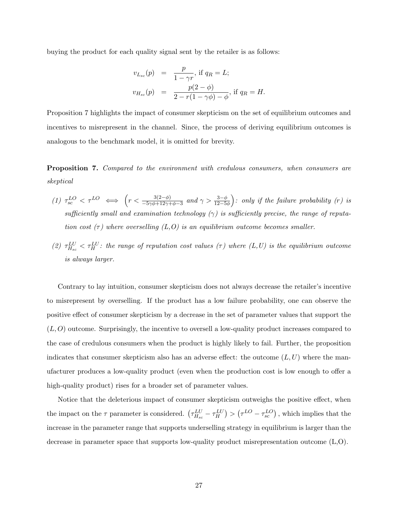buying the product for each quality signal sent by the retailer is as follows:

$$
v_{L_{sc}}(p) = \frac{p}{1 - \gamma r}, \text{ if } q_R = L;
$$
  

$$
v_{H_{sc}}(p) = \frac{p(2 - \phi)}{2 - r(1 - \gamma \phi) - \phi}, \text{ if } q_R = H.
$$

Proposition 7 highlights the impact of consumer skepticism on the set of equilibrium outcomes and incentives to misrepresent in the channel. Since, the process of deriving equilibrium outcomes is analogous to the benchmark model, it is omitted for brevity.

Proposition 7. Compared to the environment with credulous consumers, when consumers are skeptical

- (1)  $\tau_{sc}^{LO} < \tau^{LO} \iff \left(r < \frac{3(2-\phi)}{-5\gamma\phi + 12\gamma + \phi 3} \text{ and } \gamma > \frac{3-\phi}{12-5\phi}\right)$ : only if the failure probability (r) is sufficiently small and examination technology  $(\gamma)$  is sufficiently precise, the range of reputation cost  $(\tau)$  where overselling  $(L, O)$  is an equilibrium outcome becomes smaller.
- (2)  $\tau_{H_{sc}}^{LU} < \tau_H^{LU}$ : the range of reputation cost values ( $\tau$ ) where ( $L, U$ ) is the equilibrium outcome is always larger.

Contrary to lay intuition, consumer skepticism does not always decrease the retailer's incentive to misrepresent by overselling. If the product has a low failure probability, one can observe the positive effect of consumer skepticism by a decrease in the set of parameter values that support the  $(L, O)$  outcome. Surprisingly, the incentive to oversell a low-quality product increases compared to the case of credulous consumers when the product is highly likely to fail. Further, the proposition indicates that consumer skepticism also has an adverse effect: the outcome  $(L, U)$  where the manufacturer produces a low-quality product (even when the production cost is low enough to offer a high-quality product) rises for a broader set of parameter values.

Notice that the deleterious impact of consumer skepticism outweighs the positive effect, when the impact on the  $\tau$  parameter is considered.  $(\tau_{H_{sc}}^{LU} - \tau_{H}^{LU}) > (\tau^{LO} - \tau_{sc}^{LO})$ , which implies that the increase in the parameter range that supports underselling strategy in equilibrium is larger than the decrease in parameter space that supports low-quality product misrepresentation outcome (L,O).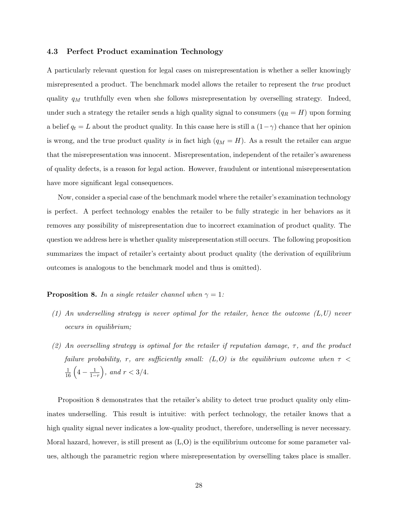### 4.3 Perfect Product examination Technology

A particularly relevant question for legal cases on misrepresentation is whether a seller knowingly misrepresented a product. The benchmark model allows the retailer to represent the true product quality  $q_M$  truthfully even when she follows misrepresentation by overselling strategy. Indeed, under such a strategy the retailer sends a high quality signal to consumers  $(q_R = H)$  upon forming a belief  $q_t = L$  about the product quality. In this caase here is still a  $(1 - \gamma)$  chance that her opinion is wrong, and the true product quality is in fact high  $(q_M = H)$ . As a result the retailer can argue that the misrepresentation was innocent. Misrepresentation, independent of the retailer's awareness of quality defects, is a reason for legal action. However, fraudulent or intentional misrepresentation have more significant legal consequences.

Now, consider a special case of the benchmark model where the retailer's examination technology is perfect. A perfect technology enables the retailer to be fully strategic in her behaviors as it removes any possibility of misrepresentation due to incorrect examination of product quality. The question we address here is whether quality misrepresentation still occurs. The following proposition summarizes the impact of retailer's certainty about product quality (the derivation of equilibrium outcomes is analogous to the benchmark model and thus is omitted).

**Proposition 8.** In a single retailer channel when  $\gamma = 1$ :

- $(1)$  An underselling strategy is never optimal for the retailer, hence the outcome  $(L,U)$  never occurs in equilibrium;
- (2) An overselling strategy is optimal for the retailer if reputation damage,  $\tau$ , and the product failure probability, r, are sufficiently small:  $(L, O)$  is the equilibrium outcome when  $\tau$  <  $\frac{1}{16} \left( 4 - \frac{1}{1-r} \right)$ , and  $r < 3/4$ .

Proposition 8 demonstrates that the retailer's ability to detect true product quality only eliminates underselling. This result is intuitive: with perfect technology, the retailer knows that a high quality signal never indicates a low-quality product, therefore, underselling is never necessary. Moral hazard, however, is still present as (L,O) is the equilibrium outcome for some parameter values, although the parametric region where misrepresentation by overselling takes place is smaller.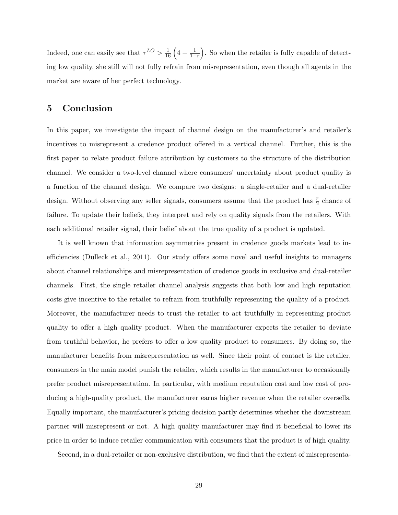Indeed, one can easily see that  $\tau^{LO} > \frac{1}{16} \left( 4 - \frac{1}{1-r} \right)$ . So when the retailer is fully capable of detecting low quality, she still will not fully refrain from misrepresentation, even though all agents in the market are aware of her perfect technology.

## 5 Conclusion

In this paper, we investigate the impact of channel design on the manufacturer's and retailer's incentives to misrepresent a credence product offered in a vertical channel. Further, this is the first paper to relate product failure attribution by customers to the structure of the distribution channel. We consider a two-level channel where consumers' uncertainty about product quality is a function of the channel design. We compare two designs: a single-retailer and a dual-retailer design. Without observing any seller signals, consumers assume that the product has  $\frac{r}{2}$  chance of failure. To update their beliefs, they interpret and rely on quality signals from the retailers. With each additional retailer signal, their belief about the true quality of a product is updated.

It is well known that information asymmetries present in credence goods markets lead to inefficiencies (Dulleck et al., 2011). Our study offers some novel and useful insights to managers about channel relationships and misrepresentation of credence goods in exclusive and dual-retailer channels. First, the single retailer channel analysis suggests that both low and high reputation costs give incentive to the retailer to refrain from truthfully representing the quality of a product. Moreover, the manufacturer needs to trust the retailer to act truthfully in representing product quality to offer a high quality product. When the manufacturer expects the retailer to deviate from truthful behavior, he prefers to offer a low quality product to consumers. By doing so, the manufacturer benefits from misrepresentation as well. Since their point of contact is the retailer, consumers in the main model punish the retailer, which results in the manufacturer to occasionally prefer product misrepresentation. In particular, with medium reputation cost and low cost of producing a high-quality product, the manufacturer earns higher revenue when the retailer oversells. Equally important, the manufacturer's pricing decision partly determines whether the downstream partner will misrepresent or not. A high quality manufacturer may find it beneficial to lower its price in order to induce retailer communication with consumers that the product is of high quality.

Second, in a dual-retailer or non-exclusive distribution, we find that the extent of misrepresenta-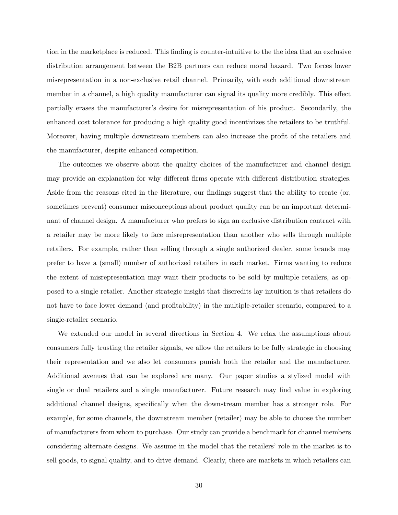tion in the marketplace is reduced. This finding is counter-intuitive to the the idea that an exclusive distribution arrangement between the B2B partners can reduce moral hazard. Two forces lower misrepresentation in a non-exclusive retail channel. Primarily, with each additional downstream member in a channel, a high quality manufacturer can signal its quality more credibly. This effect partially erases the manufacturer's desire for misrepresentation of his product. Secondarily, the enhanced cost tolerance for producing a high quality good incentivizes the retailers to be truthful. Moreover, having multiple downstream members can also increase the profit of the retailers and the manufacturer, despite enhanced competition.

The outcomes we observe about the quality choices of the manufacturer and channel design may provide an explanation for why different firms operate with different distribution strategies. Aside from the reasons cited in the literature, our findings suggest that the ability to create (or, sometimes prevent) consumer misconceptions about product quality can be an important determinant of channel design. A manufacturer who prefers to sign an exclusive distribution contract with a retailer may be more likely to face misrepresentation than another who sells through multiple retailers. For example, rather than selling through a single authorized dealer, some brands may prefer to have a (small) number of authorized retailers in each market. Firms wanting to reduce the extent of misrepresentation may want their products to be sold by multiple retailers, as opposed to a single retailer. Another strategic insight that discredits lay intuition is that retailers do not have to face lower demand (and profitability) in the multiple-retailer scenario, compared to a single-retailer scenario.

We extended our model in several directions in Section 4. We relax the assumptions about consumers fully trusting the retailer signals, we allow the retailers to be fully strategic in choosing their representation and we also let consumers punish both the retailer and the manufacturer. Additional avenues that can be explored are many. Our paper studies a stylized model with single or dual retailers and a single manufacturer. Future research may find value in exploring additional channel designs, specifically when the downstream member has a stronger role. For example, for some channels, the downstream member (retailer) may be able to choose the number of manufacturers from whom to purchase. Our study can provide a benchmark for channel members considering alternate designs. We assume in the model that the retailers' role in the market is to sell goods, to signal quality, and to drive demand. Clearly, there are markets in which retailers can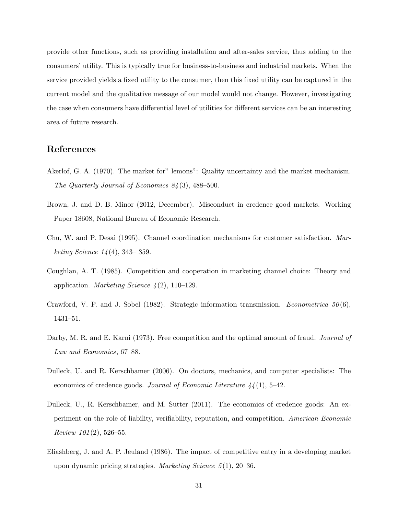provide other functions, such as providing installation and after-sales service, thus adding to the consumers' utility. This is typically true for business-to-business and industrial markets. When the service provided yields a fixed utility to the consumer, then this fixed utility can be captured in the current model and the qualitative message of our model would not change. However, investigating the case when consumers have differential level of utilities for different services can be an interesting area of future research.

# References

- Akerlof, G. A. (1970). The market for" lemons": Quality uncertainty and the market mechanism. The Quarterly Journal of Economics 84 (3), 488–500.
- Brown, J. and D. B. Minor (2012, December). Misconduct in credence good markets. Working Paper 18608, National Bureau of Economic Research.
- Chu, W. and P. Desai (1995). Channel coordination mechanisms for customer satisfaction. Mar*keting Science*  $14(4)$ , 343–359.
- Coughlan, A. T. (1985). Competition and cooperation in marketing channel choice: Theory and application. *Marketing Science*  $\frac{1}{2}$ , 110–129.
- Crawford, V. P. and J. Sobel (1982). Strategic information transmission. *Econometrica* 50(6), 1431–51.
- Darby, M. R. and E. Karni (1973). Free competition and the optimal amount of fraud. *Journal of* Law and Economics, 67–88.
- Dulleck, U. and R. Kerschbamer (2006). On doctors, mechanics, and computer specialists: The economics of credence goods. Journal of Economic Literature  $44(1)$ , 5-42.
- Dulleck, U., R. Kerschbamer, and M. Sutter (2011). The economics of credence goods: An experiment on the role of liability, verifiability, reputation, and competition. American Economic Review  $101(2)$ , 526–55.
- Eliashberg, J. and A. P. Jeuland (1986). The impact of competitive entry in a developing market upon dynamic pricing strategies. Marketing Science  $5(1)$ , 20–36.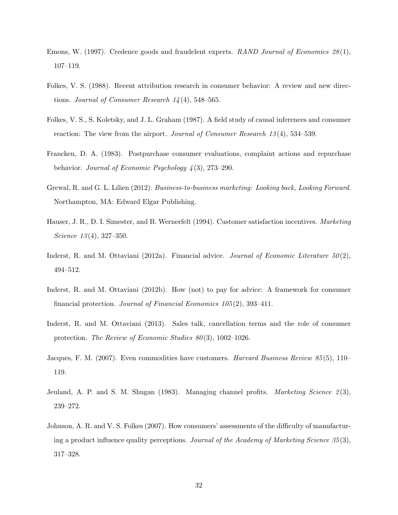- Emons, W. (1997). Credence goods and fraudelent experts. RAND Journal of Economics 28 (1), 107–119.
- Folkes, V. S. (1988). Recent attribution research in consumer behavior: A review and new directions. Journal of Consumer Research  $14(4)$ , 548–565.
- Folkes, V. S., S. Koletsky, and J. L. Graham (1987). A field study of causal inferences and consumer reaction: The view from the airport. *Journal of Consumer Research 13*(4), 534–539.
- Francken, D. A. (1983). Postpurchase consumer evaluations, complaint actions and repurchase behavior. Journal of Economic Psychology  $\frac{1}{4}(3)$ , 273–290.
- Grewal, R. and G. L. Lilien (2012). Business-to-business marketing: Looking back, Looking Forward. Northampton, MA: Edward Elgar Publishing.
- Hauser, J. R., D. I. Simester, and B. Wernerfelt (1994). Customer satisfaction incentives. Marketing Science  $13(4)$ , 327-350.
- Inderst, R. and M. Ottaviani (2012a). Financial advice. *Journal of Economic Literature*  $50(2)$ , 494–512.
- Inderst, R. and M. Ottaviani (2012b). How (not) to pay for advice: A framework for consumer financial protection. Journal of Financial Economics 105 (2), 393–411.
- Inderst, R. and M. Ottaviani (2013). Sales talk, cancellation terms and the role of consumer protection. The Review of Economic Studies  $80(3)$ , 1002–1026.
- Jacques, F. M. (2007). Even commodities have customers. *Harvard Business Review 85* (5), 110– 119.
- Jeuland, A. P. and S. M. Shugan (1983). Managing channel profits. *Marketing Science*  $2(3)$ , 239–272.
- Johnson, A. R. and V. S. Folkes (2007). How consumers' assessments of the difficulty of manufacturing a product influence quality perceptions. Journal of the Academy of Marketing Science 35 (3), 317–328.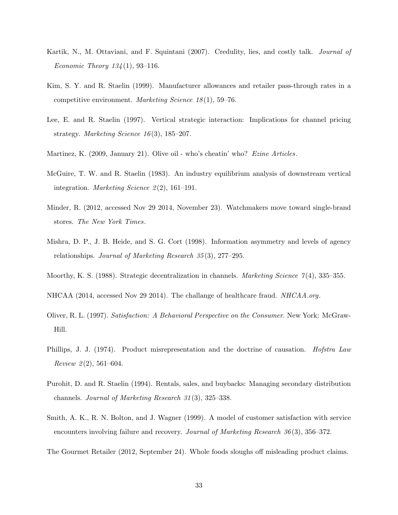- Kartik, N., M. Ottaviani, and F. Squintani (2007). Credulity, lies, and costly talk. *Journal of Economic Theory 134*(1), 93–116.
- Kim, S. Y. and R. Staelin (1999). Manufacturer allowances and retailer pass-through rates in a competitive environment. Marketing Science 18 (1), 59–76.
- Lee, E. and R. Staelin (1997). Vertical strategic interaction: Implications for channel pricing strategy. *Marketing Science 16*(3), 185–207.
- Martinez, K. (2009, January 21). Olive oil who's cheatin' who? Ezine Articles.
- McGuire, T. W. and R. Staelin (1983). An industry equilibrium analysis of downstream vertical integration. *Marketing Science*  $2(2)$ , 161–191.
- Minder, R. (2012, accessed Nov 29 2014, November 23). Watchmakers move toward single-brand stores. The New York Times.
- Mishra, D. P., J. B. Heide, and S. G. Cort (1998). Information asymmetry and levels of agency relationships. Journal of Marketing Research 35 (3), 277–295.
- Moorthy, K. S. (1988). Strategic decentralization in channels. *Marketing Science* 7(4), 335–355.
- NHCAA (2014, accessed Nov 29 2014). The challange of healthcare fraud. NHCAA.org.
- Oliver, R. L. (1997). Satisfaction: A Behavioral Perspective on the Consumer. New York: McGraw-Hill.
- Phillips, J. J. (1974). Product misrepresentation and the doctrine of causation. *Hofstra Law* Review  $2(2)$ , 561–604.
- Purohit, D. and R. Staelin (1994). Rentals, sales, and buybacks: Managing secondary distribution channels. Journal of Marketing Research 31 (3), 325–338.
- Smith, A. K., R. N. Bolton, and J. Wagner (1999). A model of customer satisfaction with service encounters involving failure and recovery. Journal of Marketing Research 36(3), 356–372.
- The Gourmet Retailer (2012, September 24). Whole foods sloughs off misleading product claims.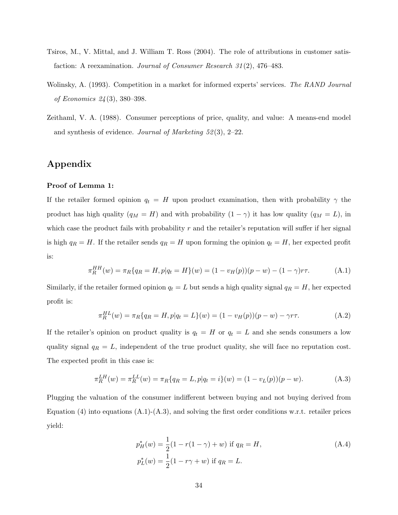- Tsiros, M., V. Mittal, and J. William T. Ross (2004). The role of attributions in customer satisfaction: A reexamination. Journal of Consumer Research 31 (2), 476–483.
- Wolinsky, A. (1993). Competition in a market for informed experts' services. The RAND Journal of Economics 24 (3), 380–398.
- Zeithaml, V. A. (1988). Consumer perceptions of price, quality, and value: A means-end model and synthesis of evidence. Journal of Marketing  $52(3)$ , 2–22.

# Appendix

#### Proof of Lemma 1:

If the retailer formed opinion  $q_t = H$  upon product examination, then with probability  $\gamma$  the product has high quality ( $q_M = H$ ) and with probability  $(1 - \gamma)$  it has low quality ( $q_M = L$ ), in which case the product fails with probability  $r$  and the retailer's reputation will suffer if her signal is high  $q_R = H$ . If the retailer sends  $q_R = H$  upon forming the opinion  $q_t = H$ , her expected profit is:

$$
\pi_R^{HH}(w) = \pi_R\{q_R = H, p|q_t = H\}(w) = (1 - v_H(p))(p - w) - (1 - \gamma)r\tau.
$$
 (A.1)

Similarly, if the retailer formed opinion  $q_t = L$  but sends a high quality signal  $q_R = H$ , her expected profit is:

$$
\pi_R^{HL}(w) = \pi_R\{q_R = H, p|q_t = L\}(w) = (1 - v_H(p))(p - w) - \gamma r \tau.
$$
\n(A.2)

If the retailer's opinion on product quality is  $q_t = H$  or  $q_t = L$  and she sends consumers a low quality signal  $q_R = L$ , independent of the true product quality, she will face no reputation cost. The expected profit in this case is:

$$
\pi_R^{LH}(w) = \pi_R^{LL}(w) = \pi_R\{q_R = L, p|q_t = i\}(w) = (1 - v_L(p))(p - w). \tag{A.3}
$$

Plugging the valuation of the consumer indifferent between buying and not buying derived from Equation (4) into equations  $(A.1)-(A.3)$ , and solving the first order conditions w.r.t. retailer prices yield:

$$
p_H^*(w) = \frac{1}{2}(1 - r(1 - \gamma) + w) \text{ if } q_R = H,
$$
  
\n
$$
p_L^*(w) = \frac{1}{2}(1 - r\gamma + w) \text{ if } q_R = L.
$$
\n(A.4)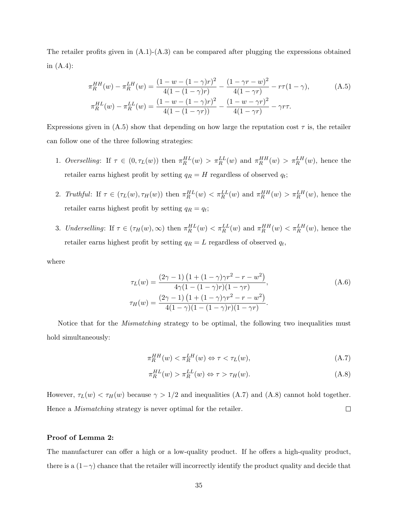The retailer profits given in  $(A.1)-(A.3)$  can be compared after plugging the expressions obtained in  $(A.4)$ :

$$
\pi_R^{HH}(w) - \pi_R^{LH}(w) = \frac{(1 - w - (1 - \gamma)r)^2}{4(1 - (1 - \gamma)r)} - \frac{(1 - \gamma r - w)^2}{4(1 - \gamma r)} - r\tau(1 - \gamma),
$$
\n(A.5)\n
$$
\pi_R^{HL}(w) - \pi_R^{LL}(w) = \frac{(1 - w - (1 - \gamma)r)^2}{4(1 - (1 - \gamma r))} - \frac{(1 - w - \gamma r)^2}{4(1 - \gamma r)} - \gamma r\tau.
$$

Expressions given in  $(A.5)$  show that depending on how large the reputation cost  $\tau$  is, the retailer can follow one of the three following strategies:

- 1. Overselling: If  $\tau \in (0, \tau_L(w))$  then  $\pi_R^{HL}(w) > \pi_R^{LL}(w)$  and  $\pi_R^{HH}(w) > \pi_R^{LH}(w)$ , hence the retailer earns highest profit by setting  $q_R = H$  regardless of observed  $q_t$ ;
- 2. Truthful: If  $\tau \in (\tau_L(w), \tau_H(w))$  then  $\pi_R^{HL}(w) < \pi_R^{LL}(w)$  and  $\pi_R^{HH}(w) > \pi_R^{LH}(w)$ , hence the retailer earns highest profit by setting  $q_R = q_t$ ;
- 3. Underselling: If  $\tau \in (\tau_H(w), \infty)$  then  $\pi_R^{HL}(w) < \pi_R^{LL}(w)$  and  $\pi_R^{HH}(w) < \pi_R^{LH}(w)$ , hence the retailer earns highest profit by setting  $q_R = L$  regardless of observed  $q_t$ ,

where

$$
\tau_L(w) = \frac{(2\gamma - 1)\left(1 + (1 - \gamma)\gamma r^2 - r - w^2\right)}{4\gamma(1 - (1 - \gamma)r)(1 - \gamma r)},
$$
\n
$$
\tau_H(w) = \frac{(2\gamma - 1)\left(1 + (1 - \gamma)\gamma r^2 - r - w^2\right)}{4(1 - \gamma)(1 - (1 - \gamma)r)(1 - \gamma r)}.
$$
\n(A.6)

Notice that for the *Mismatching* strategy to be optimal, the following two inequalities must hold simultaneously:

$$
\pi_R^{HH}(w) < \pi_R^{LH}(w) \Leftrightarrow \tau < \tau_L(w),\tag{A.7}
$$

$$
\pi_R^{HL}(w) > \pi_R^{LL}(w) \Leftrightarrow \tau > \tau_H(w). \tag{A.8}
$$

However,  $\tau_L(w) < \tau_H(w)$  because  $\gamma > 1/2$  and inequalities (A.7) and (A.8) cannot hold together. Hence a Mismatching strategy is never optimal for the retailer.  $\Box$ 

#### Proof of Lemma 2:

The manufacturer can offer a high or a low-quality product. If he offers a high-quality product, there is a  $(1-\gamma)$  chance that the retailer will incorrectly identify the product quality and decide that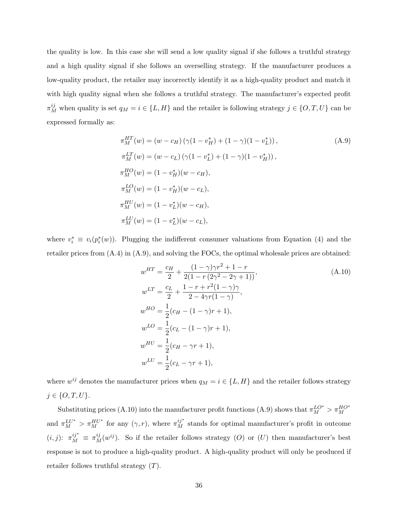the quality is low. In this case she will send a low quality signal if she follows a truthful strategy and a high quality signal if she follows an overselling strategy. If the manufacturer produces a low-quality product, the retailer may incorrectly identify it as a high-quality product and match it with high quality signal when she follows a truthful strategy. The manufacturer's expected profit  $\pi_M^{ij}$  when quality is set  $q_M = i \in \{L, H\}$  and the retailer is following strategy  $j \in \{O, T, U\}$  can be expressed formally as:

$$
\pi_M^{HT}(w) = (w - c_H) (\gamma (1 - v_H^*) + (1 - \gamma)(1 - v_L^*)),
$$
\n
$$
\pi_M^{LT}(w) = (w - c_L) (\gamma (1 - v_L^*) + (1 - \gamma)(1 - v_H^*)),
$$
\n
$$
\pi_M^{HO}(w) = (1 - v_H^*)(w - c_H),
$$
\n
$$
\pi_M^{LO}(w) = (1 - v_L^*)(w - c_L),
$$
\n
$$
\pi_M^{HU}(w) = (1 - v_L^*)(w - c_H),
$$
\n
$$
\pi_M^{LU}(w) = (1 - v_L^*)(w - c_L),
$$
\n(4.9)

where  $v_i^* \equiv v_i(p_i^*(w))$ . Plugging the indifferent consumer valuations from Equation (4) and the retailer prices from (A.4) in (A.9), and solving the FOCs, the optimal wholesale prices are obtained:

$$
w^{HT} = \frac{c_H}{2} + \frac{(1 - \gamma)\gamma r^2 + 1 - r}{2(1 - r(2\gamma^2 - 2\gamma + 1))},
$$
  
\n
$$
w^{LT} = \frac{c_L}{2} + \frac{1 - r + r^2(1 - \gamma)\gamma}{2 - 4\gamma r(1 - \gamma)},
$$
  
\n
$$
w^{HO} = \frac{1}{2}(c_H - (1 - \gamma)r + 1),
$$
  
\n
$$
w^{LO} = \frac{1}{2}(c_L - (1 - \gamma)r + 1),
$$
  
\n
$$
w^{HU} = \frac{1}{2}(c_H - \gamma r + 1),
$$
  
\n
$$
w^{LU} = \frac{1}{2}(c_L - \gamma r + 1),
$$
  
\n(A.10)

where  $w^{ij}$  denotes the manufacturer prices when  $q_M = i \in \{L, H\}$  and the retailer follows strategy  $j \in \{O, T, U\}.$ 

Substituting prices (A.10) into the manufacturer profit functions (A.9) shows that  $\pi_M^{LO^*} > \pi_M^{HO^*}$ and  $\pi_M^{LU^*} > \pi_M^{HU^*}$  for any  $(\gamma, r)$ , where  $\pi_M^{ij^*}$  stands for optimal manufacturer's profit in outcome  $(i, j)$ :  $\pi_M^{ij^*} \equiv \pi_M^{ij}(w^{ij})$ . So if the retailer follows strategy (O) or (U) then manufacturer's best response is not to produce a high-quality product. A high-quality product will only be produced if retailer follows truthful strategy  $(T)$ .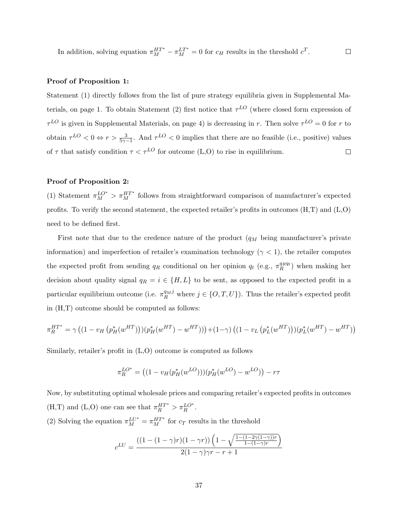In addition, solving equation  $\pi_M^{HT^*} - \pi_M^{LT^*} = 0$  for  $c_H$  results in the threshold  $c^T$ .  $\Box$ 

#### Proof of Proposition 1:

Statement (1) directly follows from the list of pure strategy equilibria given in Supplemental Materials, on page 1. To obtain Statement (2) first notice that  $\tau^{LO}$  (where closed form expression of  $\tau^{LO}$  is given in Supplemental Materials, on page 4) is decreasing in r. Then solve  $\tau^{LO} = 0$  for r to obtain  $\tau^{LO} < 0 \Leftrightarrow r > \frac{3}{5\gamma - 1}$ . And  $\tau^{LO} < 0$  implies that there are no feasible (i.e., positive) values of  $\tau$  that satisfy condition  $\tau < \tau^{LO}$  for outcome (L,O) to rise in equilibrium.  $\Box$ 

### Proof of Proposition 2:

(1) Statement  $\pi_M^{LO^*} > \pi_M^{HT^*}$  follows from straightforward comparison of manufacturer's expected profits. To verify the second statement, the expected retailer's profits in outcomes  $(H,T)$  and  $(L,0)$ need to be defined first.

First note that due to the credence nature of the product  $(q_M$  being manufacturer's private information) and imperfection of retailer's examination technology ( $\gamma$  < 1), the retailer computes the expected profit from sending  $q_R$  conditional on her opinion  $q_t$  (e.g.,  $\pi_R^{qnq_t}$ ) when making her decision about quality signal  $q_R = i \in \{H, L\}$  to be sent, as opposed to the expected profit in a particular equilibrium outcome (i.e.  $\pi_R^{q_M j}$  where  $j \in \{O, T, U\}$ ). Thus the retailer's expected profit in (H,T) outcome should be computed as follows:

$$
\pi_R^{HT^*} = \gamma ((1 - v_H \left( p_H^* (w^{HT}) \right)) (p_H^* (w^{HT}) - w^{HT})) + (1 - \gamma) ((1 - v_L \left( p_L^* (w^{HT}) \right)) (p_L^* (w^{HT}) - w^{HT}))
$$

Similarly, retailer's profit in (L,O) outcome is computed as follows

$$
\pi_R^{LO^*} = ((1 - v_H(p_H^*(w^{LO}))) (p_H^*(w^{LO}) - w^{LO})) - r\tau
$$

Now, by substituting optimal wholesale prices and comparing retailer's expected profits in outcomes (H,T) and (L,O) one can see that  $\pi_R^{HT^*} > \pi_R^{LO^*}$ .

(2) Solving the equation  $\pi_M^{LU^*} = \pi_M^{HT^*}$  for  $c_T$  results in the threshold

$$
c^{LU} = \frac{((1 - (1 - \gamma)r)(1 - \gamma r))\left(1 - \sqrt{\frac{1 - (1 - 2\gamma(1 - \gamma)r}{1 - (1 - \gamma)r}}\right)}{2(1 - \gamma)\gamma r - r + 1}
$$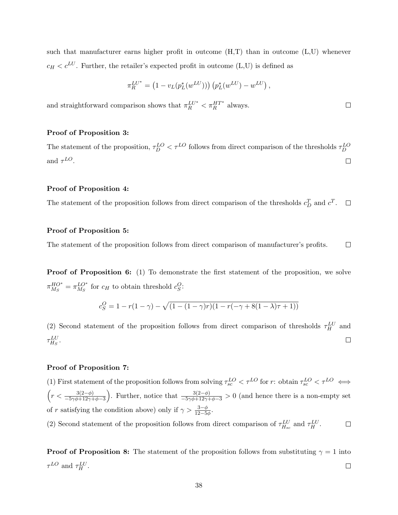such that manufacturer earns higher profit in outcome  $(H,T)$  than in outcome  $(L,U)$  whenever  $c_H < c^{LU}$ . Further, the retailer's expected profit in outcome (L,U) is defined as

$$
\pi_R^{LU^*} = (1 - v_L(p_L^*(w^{LU}))) (p_L^*(w^{LU}) - w^{LU}),
$$

and straightforward comparison shows that  $\pi_R^{LU^*}<\pi_R^{HT^*}$  always.

### Proof of Proposition 3:

The statement of the proposition,  $\tau_D^{LO} < \tau^{LO}$  follows from direct comparison of the thresholds  $\tau_D^{LO}$ and  $\tau^{LO}$ .  $\Box$ 

#### Proof of Proposition 4:

The statement of the proposition follows from direct comparison of the thresholds  $c_D^T$  and  $c^T$ .  $\Box$ 

### Proof of Proposition 5:

The statement of the proposition follows from direct comparison of manufacturer's profits.  $\Box$ 

Proof of Proposition 6: (1) To demonstrate the first statement of the proposition, we solve  $\pi_{M_{\infty}}^{HO^*}$  $^{HO^*}_{M_S} = \pi^{LO^*}_{M_S}$  $^{LO^*}_{M_S}$  for  $c_H$  to obtain threshold  $c_S^O$ :

$$
c_S^O = 1 - r(1 - \gamma) - \sqrt{(1 - (1 - \gamma)r)(1 - r(-\gamma + 8(1 - \lambda)\tau + 1))}
$$

(2) Second statement of the proposition follows from direct comparison of thresholds  $\tau_H^{LU}$  and  $\tau_{H_S}^{LU}.$  $\Box$ 

### Proof of Proposition 7:

(1) First statement of the proposition follows from solving  $\tau_{sc}^{LO} < \tau^{LO}$  for r: obtain  $\tau_{sc}^{LO} < \tau^{LO} \iff$  $\left(r<\frac{3(2-\phi)}{-5\gamma\phi+12\gamma+\phi-3}\right)$ . Further, notice that  $\frac{3(2-\phi)}{-5\gamma\phi+12\gamma+\phi-3}>0$  (and hence there is a non-empty set of r satisfying the condition above) only if  $\gamma > \frac{3-\phi}{12-5\phi}$ .

(2) Second statement of the proposition follows from direct comparison of  $\tau_{H_{sc}}^{LU}$  and  $\tau_H^{LU}$ .  $\Box$ 

**Proof of Proposition 8:** The statement of the proposition follows from substituting  $\gamma = 1$  into  $\tau^{LO}$  and  $\tau_H^{LU}$ .  $\Box$ 

 $\Box$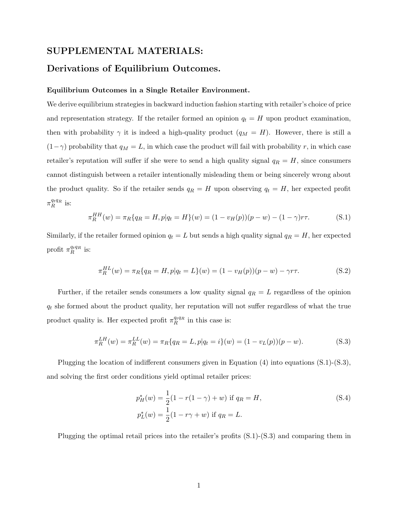## SUPPLEMENTAL MATERIALS:

## Derivations of Equilibrium Outcomes.

#### Equilibrium Outcomes in a Single Retailer Environment.

We derive equilibrium strategies in backward induction fashion starting with retailer's choice of price and representation strategy. If the retailer formed an opinion  $q_t = H$  upon product examination, then with probability  $\gamma$  it is indeed a high-quality product  $(q_M = H)$ . However, there is still a  $(1-\gamma)$  probability that  $q_M = L$ , in which case the product will fail with probability r, in which case retailer's reputation will suffer if she were to send a high quality signal  $q_R = H$ , since consumers cannot distinguish between a retailer intentionally misleading them or being sincerely wrong about the product quality. So if the retailer sends  $q_R = H$  upon observing  $q_t = H$ , her expected profit  $\pi_R^{q_tq_R}$  is:

$$
\pi_R^{HH}(w) = \pi_R\{q_R = H, p|q_t = H\}(w) = (1 - v_H(p))(p - w) - (1 - \gamma)r\tau.
$$
 (S.1)

Similarly, if the retailer formed opinion  $q_t = L$  but sends a high quality signal  $q_R = H$ , her expected profit  $\pi_R^{q_tq_R}$  is:

$$
\pi_R^{HL}(w) = \pi_R\{q_R = H, p|q_t = L\}(w) = (1 - v_H(p))(p - w) - \gamma r \tau.
$$
\n(S.2)

Further, if the retailer sends consumers a low quality signal  $q_R = L$  regardless of the opinion  $q_t$  she formed about the product quality, her reputation will not suffer regardless of what the true product quality is. Her expected profit  $\pi_R^{q_t q_R}$  in this case is:

$$
\pi_R^{LH}(w) = \pi_R^{LL}(w) = \pi_R\{q_R = L, p|q_t = i\}(w) = (1 - v_L(p))(p - w).
$$
\n(S.3)

Plugging the location of indifferent consumers given in Equation (4) into equations (S.1)-(S.3), and solving the first order conditions yield optimal retailer prices:

$$
p_H^*(w) = \frac{1}{2}(1 - r(1 - \gamma) + w) \text{ if } q_R = H,
$$
  
\n
$$
p_L^*(w) = \frac{1}{2}(1 - r\gamma + w) \text{ if } q_R = L.
$$
\n(S.4)

Plugging the optimal retail prices into the retailer's profits (S.1)-(S.3) and comparing them in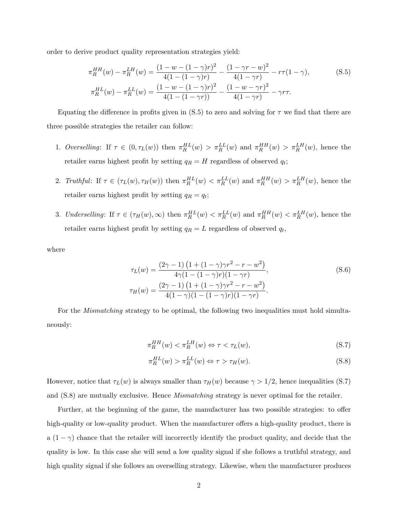order to derive product quality representation strategies yield:

$$
\pi_R^{HH}(w) - \pi_R^{LH}(w) = \frac{(1 - w - (1 - \gamma)r)^2}{4(1 - (1 - \gamma)r)} - \frac{(1 - \gamma r - w)^2}{4(1 - \gamma r)} - r\tau(1 - \gamma),
$$
(S.5)  

$$
\pi_R^{HL}(w) - \pi_R^{LL}(w) = \frac{(1 - w - (1 - \gamma)r)^2}{4(1 - (1 - \gamma r))} - \frac{(1 - w - \gamma r)^2}{4(1 - \gamma r)} - \gamma r\tau.
$$

Equating the difference in profits given in (S.5) to zero and solving for  $\tau$  we find that there are three possible strategies the retailer can follow:

- 1. Overselling: If  $\tau \in (0, \tau_L(w))$  then  $\pi_R^{HL}(w) > \pi_R^{LL}(w)$  and  $\pi_R^{HH}(w) > \pi_R^{LH}(w)$ , hence the retailer earns highest profit by setting  $q_R = H$  regardless of observed  $q_t$ ;
- 2. Truthful: If  $\tau \in (\tau_L(w), \tau_H(w))$  then  $\pi_R^{HL}(w) < \pi_R^{LL}(w)$  and  $\pi_R^{HH}(w) > \pi_R^{LH}(w)$ , hence the retailer earns highest profit by setting  $q_R = q_t$ ;
- 3. Underselling: If  $\tau \in (\tau_H(w), \infty)$  then  $\pi_R^{HL}(w) < \pi_R^{LL}(w)$  and  $\pi_R^{HH}(w) < \pi_R^{LH}(w)$ , hence the retailer earns highest profit by setting  $q_R = L$  regardless of observed  $q_t$ ,

where

$$
\tau_L(w) = \frac{(2\gamma - 1)\left(1 + (1 - \gamma)\gamma r^2 - r - w^2\right)}{4\gamma(1 - (1 - \gamma)r)(1 - \gamma r)},
$$
\n
$$
\tau_H(w) = \frac{(2\gamma - 1)\left(1 + (1 - \gamma)\gamma r^2 - r - w^2\right)}{4(1 - \gamma)(1 - (1 - \gamma)r)(1 - \gamma r)}.
$$
\n(S.6)

For the *Mismatching* strategy to be optimal, the following two inequalities must hold simultaneously:

$$
\pi_R^{HH}(w) < \pi_R^{LH}(w) \Leftrightarrow \tau < \tau_L(w),\tag{S.7}
$$

$$
\pi_R^{HL}(w) > \pi_R^{LL}(w) \Leftrightarrow \tau > \tau_H(w). \tag{S.8}
$$

However, notice that  $\tau_L(w)$  is always smaller than  $\tau_H(w)$  because  $\gamma > 1/2$ , hence inequalities (S.7) and  $(S.8)$  are mutually exclusive. Hence *Mismatching* strategy is never optimal for the retailer.

Further, at the beginning of the game, the manufacturer has two possible strategies: to offer high-quality or low-quality product. When the manufacturer offers a high-quality product, there is a  $(1 - \gamma)$  chance that the retailer will incorrectly identify the product quality, and decide that the quality is low. In this case she will send a low quality signal if she follows a truthful strategy, and high quality signal if she follows an overselling strategy. Likewise, when the manufacturer produces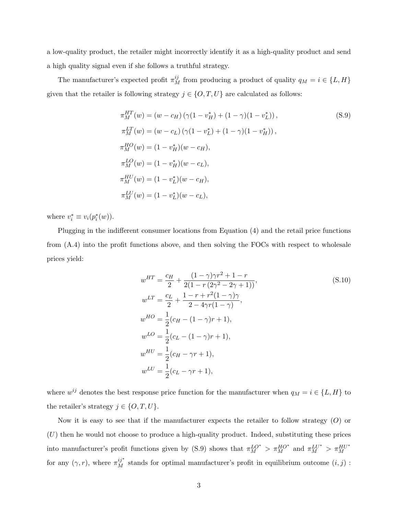a low-quality product, the retailer might incorrectly identify it as a high-quality product and send a high quality signal even if she follows a truthful strategy.

The manufacturer's expected profit  $\pi_M^{ij}$  from producing a product of quality  $q_M = i \in \{L, H\}$ given that the retailer is following strategy  $j \in \{O, T, U\}$  are calculated as follows:

$$
\pi_M^{HT}(w) = (w - c_H) (\gamma (1 - v_H^*) + (1 - \gamma)(1 - v_L^*)),
$$
\n
$$
\pi_M^{LT}(w) = (w - c_L) (\gamma (1 - v_L^*) + (1 - \gamma)(1 - v_H^*)),
$$
\n
$$
\pi_M^{HO}(w) = (1 - v_H^*)(w - c_H),
$$
\n
$$
\pi_M^{LO}(w) = (1 - v_L^*)(w - c_L),
$$
\n
$$
\pi_M^{HU}(w) = (1 - v_L^*)(w - c_H),
$$
\n
$$
\pi_M^{LU}(w) = (1 - v_L^*)(w - c_L),
$$
\n(9.9)

where  $v_i^* \equiv v_i(p_i^*(w))$ .

Plugging in the indifferent consumer locations from Equation (4) and the retail price functions from (A.4) into the profit functions above, and then solving the FOCs with respect to wholesale prices yield:

$$
w^{HT} = \frac{c_H}{2} + \frac{(1 - \gamma)\gamma r^2 + 1 - r}{2(1 - r(2\gamma^2 - 2\gamma + 1))},
$$
  
\n
$$
w^{LT} = \frac{c_L}{2} + \frac{1 - r + r^2(1 - \gamma)\gamma}{2 - 4\gamma r(1 - \gamma)},
$$
  
\n
$$
w^{HO} = \frac{1}{2}(c_H - (1 - \gamma)r + 1),
$$
  
\n
$$
w^{LO} = \frac{1}{2}(c_L - (1 - \gamma)r + 1),
$$
  
\n
$$
w^{HU} = \frac{1}{2}(c_H - \gamma r + 1),
$$
  
\n
$$
w^{LU} = \frac{1}{2}(c_L - \gamma r + 1),
$$
  
\n(S.10)

where  $w^{ij}$  denotes the best response price function for the manufacturer when  $q_M = i \in \{L, H\}$  to the retailer's strategy  $j \in \{O, T, U\}.$ 

Now it is easy to see that if the manufacturer expects the retailer to follow strategy  $(O)$  or  $(U)$  then he would not choose to produce a high-quality product. Indeed, substituting these prices into manufacturer's profit functions given by (S.9) shows that  $\pi_M^{LO^*} > \pi_M^{HO^*}$  and  $\pi_M^{LU^*} > \pi_M^{HU^*}$ for any  $(\gamma, r)$ , where  $\pi_M^{ij*}$  stands for optimal manufacturer's profit in equilibrium outcome  $(i, j)$ :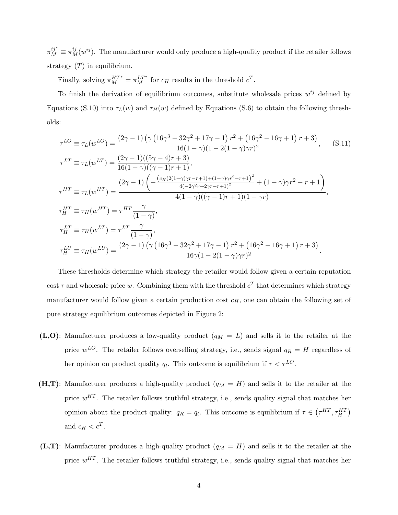$\pi_M^{ij^*} \equiv \pi_M^{ij}(w^{ij})$ . The manufacturer would only produce a high-quality product if the retailer follows strategy  $(T)$  in equilibrium.

Finally, solving  $\pi_M^{HT^*} = \pi_M^{LT^*}$  for  $c_H$  results in the threshold  $c^T$ .

To finish the derivation of equilibrium outcomes, substitute wholesale prices  $w^{ij}$  defined by Equations (S.10) into  $\tau_L(w)$  and  $\tau_H(w)$  defined by Equations (S.6) to obtain the following thresholds:

$$
\tau^{LO} \equiv \tau_L(w^{LO}) = \frac{(2\gamma - 1) \left(\gamma \left(16\gamma^3 - 32\gamma^2 + 17\gamma - 1\right) r^2 + \left(16\gamma^2 - 16\gamma + 1\right) r + 3\right)}{16(1 - \gamma)(1 - 2(1 - \gamma)\gamma r)^2}, \quad (S.11)
$$
\n
$$
\tau^{LT} \equiv \tau_L(w^{LT}) = \frac{(2\gamma - 1)((5\gamma - 4)r + 3)}{16(1 - \gamma)((\gamma - 1)r + 1)},
$$
\n
$$
\tau^{HT} \equiv \tau_L(w^{HT}) = \frac{(2\gamma - 1)\left(-\frac{(c_H(2(1 - \gamma)\gamma r - r + 1) + (1 - \gamma)\gamma r^2 - r + 1)^2}{4(-2\gamma^2 r + 2\gamma r - r + 1)^2} + (1 - \gamma)\gamma r^2 - r + 1\right)}{4(1 - \gamma)((\gamma - 1)r + 1)(1 - \gamma r)},
$$
\n
$$
\tau^{HT}_H \equiv \tau_H(w^{HT}) = \tau^{HT} \frac{\gamma}{(1 - \gamma)},
$$
\n
$$
\tau^{LT}_H \equiv \tau_H(w^{LT}) = \tau^{LT} \frac{\gamma}{(1 - \gamma)},
$$
\n
$$
\tau^{LU}_H \equiv \tau_H(w^{LU}) = \frac{(2\gamma - 1)\left(\gamma \left(16\gamma^3 - 32\gamma^2 + 17\gamma - 1\right)r^2 + \left(16\gamma^2 - 16\gamma + 1\right)r + 3\right)}{16\gamma(1 - 2(1 - \gamma)\gamma r)^2}.
$$
\n(16)

These thresholds determine which strategy the retailer would follow given a certain reputation cost  $\tau$  and wholesale price w. Combining them with the threshold  $c^T$  that determines which strategy manufacturer would follow given a certain production cost  $c_H$ , one can obtain the following set of pure strategy equilibrium outcomes depicted in Figure 2:

- (L,O): Manufacturer produces a low-quality product  $(q_M = L)$  and sells it to the retailer at the price  $w^{LO}$ . The retailer follows overselling strategy, i.e., sends signal  $q_R = H$  regardless of her opinion on product quality  $q_t$ . This outcome is equilibrium if  $\tau < \tau^{LO}$ .
- $(H,T)$ : Manufacturer produces a high-quality product  $(q_M = H)$  and sells it to the retailer at the price  $w^{HT}$ . The retailer follows truthful strategy, i.e., sends quality signal that matches her opinion about the product quality:  $q_R = q_t$ . This outcome is equilibrium if  $\tau \in (\tau^{HT}, \tau_H^{HT})$ and  $c_H < c^T$ .
- $(L,T)$ : Manufacturer produces a high-quality product  $(q_M = H)$  and sells it to the retailer at the price  $w^{HT}$ . The retailer follows truthful strategy, i.e., sends quality signal that matches her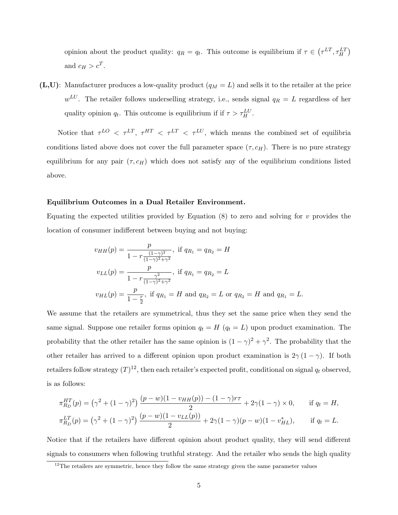opinion about the product quality:  $q_R = q_t$ . This outcome is equilibrium if  $\tau \in (\tau^{LT}, \tau_H^{LT})$ and  $c_H > c^T$ .

 $(L,U)$ : Manufacturer produces a low-quality product  $(q_M = L)$  and sells it to the retailer at the price  $w^{LU}$ . The retailer follows underselling strategy, i.e., sends signal  $q_R = L$  regardless of her quality opinion  $q_t$ . This outcome is equilibrium if if  $\tau > \tau_H^{LU}$ .

Notice that  $\tau^{LO}$   $\langle \tau^{LT}, \tau^{HT} \rangle \langle \tau^{LT}, \tau^{LU} \rangle$ , which means the combined set of equilibria conditions listed above does not cover the full parameter space  $(\tau, c_H)$ . There is no pure strategy equilibrium for any pair  $(\tau, c_H)$  which does not satisfy any of the equilibrium conditions listed above.

#### Equilibrium Outcomes in a Dual Retailer Environment.

Equating the expected utilities provided by Equation  $(8)$  to zero and solving for v provides the location of consumer indifferent between buying and not buying:

$$
v_{HH}(p) = \frac{p}{1 - r \frac{(1 - \gamma)^2}{(1 - \gamma)^2 + \gamma^2}}, \text{ if } q_{R_1} = q_{R_2} = H
$$
  

$$
v_{LL}(p) = \frac{p}{1 - r \frac{\gamma^2}{(1 - \gamma)^2 + \gamma^2}}, \text{ if } q_{R_1} = q_{R_2} = L
$$
  

$$
v_{HL}(p) = \frac{p}{1 - \frac{r}{2}}, \text{ if } q_{R_1} = H \text{ and } q_{R_2} = L \text{ or } q_{R_2} = H \text{ and } q_{R_1} = L.
$$

We assume that the retailers are symmetrical, thus they set the same price when they send the same signal. Suppose one retailer forms opinion  $q_t = H$  ( $q_t = L$ ) upon product examination. The probability that the other retailer has the same opinion is  $(1 - \gamma)^2 + \gamma^2$ . The probability that the other retailer has arrived to a different opinion upon product examination is  $2\gamma (1 - \gamma)$ . If both retailers follow strategy  $(T)^{12}$ , then each retailer's expected profit, conditional on signal  $q_t$  observed, is as follows:

$$
\pi_{R_D}^{HT}(p) = (\gamma^2 + (1 - \gamma)^2) \frac{(p - w)(1 - v_{HH}(p)) - (1 - \gamma)r\tau}{2} + 2\gamma(1 - \gamma) \times 0, \quad \text{if } q_t = H,
$$
  

$$
\pi_{R_D}^{LT}(p) = (\gamma^2 + (1 - \gamma)^2) \frac{(p - w)(1 - v_{LL}(p))}{2} + 2\gamma(1 - \gamma)(p - w)(1 - v_{HL}^*), \quad \text{if } q_t = L.
$$

Notice that if the retailers have different opinion about product quality, they will send different signals to consumers when following truthful strategy. And the retailer who sends the high quality

<sup>&</sup>lt;sup>12</sup>The retailers are symmetric, hence they follow the same strategy given the same parameter values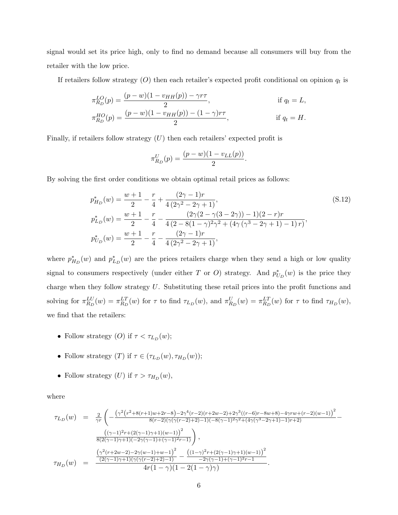signal would set its price high, only to find no demand because all consumers will buy from the retailer with the low price.

If retailers follow strategy  $(O)$  then each retailer's expected profit conditional on opinion  $q_t$  is

$$
\pi_{R_D}^{LO}(p) = \frac{(p - w)(1 - v_{HH}(p)) - \gamma r \tau}{2},
$$
 if  $q_t = L$ ,  
\n
$$
\pi_{R_D}^{HO}(p) = \frac{(p - w)(1 - v_{HH}(p)) - (1 - \gamma)r\tau}{2},
$$
 if  $q_t = H$ .

Finally, if retailers follow strategy  $(U)$  then each retailers' expected profit is

$$
\pi_{R_D}^U(p) = \frac{(p - w)(1 - v_{LL}(p))}{2}
$$

By solving the first order conditions we obtain optimal retail prices as follows:

$$
p_{H_D}^*(w) = \frac{w+1}{2} - \frac{r}{4} + \frac{(2\gamma - 1)r}{4(2\gamma^2 - 2\gamma + 1)},
$$
\n
$$
p_{L_D}^*(w) = \frac{w+1}{2} - \frac{r}{4} - \frac{(2\gamma(2 - \gamma(3 - 2\gamma)) - 1)(2 - r)r}{4(2 - 8(1 - \gamma)^2\gamma^2 + (4\gamma(\gamma^3 - 2\gamma + 1) - 1)r)},
$$
\n
$$
p_{U_D}^*(w) = \frac{w+1}{2} - \frac{r}{4} - \frac{(2\gamma - 1)r}{4(2\gamma^2 - 2\gamma + 1)},
$$
\n(S.12)

.

where  $p_{H_D}^*(w)$  and  $p_{L_D}^*(w)$  are the prices retailers charge when they send a high or low quality signal to consumers respectively (under either T or O) strategy. And  $p_{U_D}^*(w)$  is the price they charge when they follow strategy  $U$ . Substituting these retail prices into the profit functions and solving for  $\pi_{R_D}^{LU}(w) = \pi_{R_D}^{LT}(w)$  for  $\tau$  to find  $\tau_{L_D}(w)$ , and  $\pi_{R_D}^{U}(w) = \pi_{R_D}^{LT}(w)$  for  $\tau$  to find  $\tau_{H_D}(w)$ , we find that the retailers:

- Follow strategy  $(O)$  if  $\tau < \tau_{L_D}(w)$ ;
- Follow strategy  $(T)$  if  $\tau \in (\tau_{L_D}(w), \tau_{H_D}(w));$
- Follow strategy  $(U)$  if  $\tau > \tau_{H_D}(w)$ ,

where

$$
\tau_{L_D}(w) = \frac{2}{\gamma r} \left( -\frac{(\gamma^2 (r^2 + 8(r+1)w + 2r - 8) - 2\gamma^4 (r-2)(r+2w-2) + 2\gamma^3 ((r-6)r-8w+8) - 4\gamma rw+(r-2)(w-1))^2}{8(r-2)(\gamma(\gamma(r-2)+2)-1)(-8(\gamma-1)^2\gamma^2+(4\gamma(\gamma^3-2\gamma+1)-1)r+2)} - \frac{((\gamma-1)^2r + (2(\gamma-1)\gamma+1)(w-1))^2}{8(2(\gamma-1)\gamma+1)(-2\gamma(\gamma-1)+(\gamma-1)^2r-1)} \right),
$$
\n
$$
\tau_{H_D}(w) = \frac{\frac{(\gamma^2(r+2w-2)-2\gamma(w-1)+w-1)^2}{(2(\gamma-1)\gamma+1)(\gamma(\gamma(r-2)+2)-1)} - \frac{((1-\gamma)^2r + (2(\gamma-1)\gamma+1)(w-1))^2}{-2\gamma(\gamma-1)+(\gamma-1)^2r-1}}{4r(1-\gamma)(1-2(1-\gamma)\gamma)}.
$$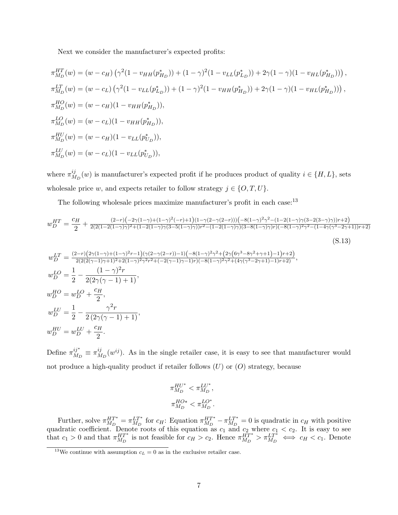Next we consider the manufacturer's expected profits:

$$
\pi_{M_D}^{HT}(w) = (w - c_H) \left( \gamma^2 (1 - v_{HH}(p_{H_D}^*)) + (1 - \gamma)^2 (1 - v_{LL}(p_{L_D}^*)) + 2\gamma (1 - \gamma)(1 - v_{HL}(p_{H_D}^*)) \right),
$$
  
\n
$$
\pi_{M_D}^{LT}(w) = (w - c_L) \left( \gamma^2 (1 - v_{LL}(p_{L_D}^*)) + (1 - \gamma)^2 (1 - v_{HH}(p_{H_D}^*)) + 2\gamma (1 - \gamma)(1 - v_{HL}(p_{H_D}^*)) \right),
$$
  
\n
$$
\pi_{M_D}^{HO}(w) = (w - c_H)(1 - v_{HH}(p_{H_D}^*)),
$$
  
\n
$$
\pi_{M_D}^{LU}(w) = (w - c_L)(1 - v_{LL}(p_{U_D}^*)),
$$
  
\n
$$
\pi_{M_D}^{HU}(w) = (w - c_H)(1 - v_{LL}(p_{U_D}^*)),
$$
  
\n
$$
\pi_{M_D}^{LU}(w) = (w - c_L)(1 - v_{LL}(p_{U_D}^*)),
$$

where  $\pi_M^{ij}$  $\mathcal{H}_{M_D}(w)$  is manufacturer's expected profit if he produces product of quality  $i \in \{H, L\}$ , sets wholesale price w, and expects retailer to follow strategy  $j \in \{O, T, U\}$ .

The following wholesale prices maximize manufacturer's profit in each case:<sup>13</sup>

$$
w_{D}^{HT} = \frac{c_{H}}{2} + \frac{(2-r)(-2\gamma(1-\gamma)+(1-\gamma)^{2}(-r)+1)(1-\gamma(2-\gamma(2-r)))(-8(1-\gamma)^{2}\gamma^{2}-(1-2(1-\gamma)\gamma(3-2(3-\gamma)\gamma))r+2)}{2(2(1-2(1-\gamma)\gamma)^{2}+(1-2(1-\gamma)\gamma(3-5(1-\gamma)\gamma))r^{2}-(1-2(1-\gamma)\gamma)(3-8(1-\gamma)\gamma)r)(-8(1-\gamma)^{2}\gamma^{2}-(1-4\gamma(\gamma^{3}-2\gamma+1))r+2)}
$$
\n
$$
w_{D}^{LT} = \frac{(2-r)(2\gamma(1-\gamma)+(1-\gamma)^{2}r-1)(\gamma(2-\gamma(2-r))-1)(-8(1-\gamma)^{2}\gamma^{2}+(2\gamma(6\gamma^{3}-8\gamma^{2}+\gamma+1)-1)r+2)}{2(2(2(\gamma-1)\gamma+1)^{2}+2(1-\gamma)^{2}\gamma^{2}r^{2}+(-2(\gamma-1)\gamma-1)r)(-8(1-\gamma)^{2}\gamma^{2}+(4\gamma(\gamma^{3}-2\gamma+1)-1)r+2)},
$$
\n
$$
w_{D}^{LO} = \frac{1}{2} - \frac{(1-\gamma)^{2}r}{2(2\gamma(\gamma-1)+1)},
$$
\n
$$
w_{D}^{HO} = w_{D}^{LO} + \frac{c_{H}}{2},
$$
\n
$$
w_{D}^{LU} = \frac{1}{2} - \frac{\gamma^{2}r}{2(2\gamma(\gamma-1)+1)},
$$

$$
2\left(2\gamma(\gamma - 1) + 1\right)
$$

$$
w_D^{HU} = w_D^{LU} + \frac{c_H}{2}.
$$

Define  $\pi_{M_i}^{ij^*}$  $\frac{ij^*}{M_D} \equiv \pi^{ij}_M$  $\frac{ij}{M_D}(w^{ij})$ . As in the single retailer case, it is easy to see that manufacturer would not produce a high-quality product if retailer follows  $(U)$  or  $(O)$  strategy, because

$$
\begin{aligned} \pi_{M_D}^{HU^*} &< \pi_{M_D}^{LU^*},\\ \pi_{M_D}^{HO^*} &< \pi_{M_D}^{LO^*}. \end{aligned}
$$

Further, solve  $\pi_{M_D}^{HT^*}$  $\frac{HT^*}{M_D} = \pi_{M_D}^{LT^*}$  $\frac{LT^*}{M_D}$  for  $c_H$ : Equation  $\pi_{M_D}^{HT^*}$  $\begin{array}{c} HT^* \\ M_D \end{array} - \pi_{M_D}^{LT^*}$  $\frac{LT^*}{M_D} = 0$  is quadratic in  $c_H$  with positive quadratic coefficient. Denote roots of this equation as  $c_1$  and  $c_2$  where  $c_1 < c_2$ . It is easy to see that  $c_1 > 0$  and that  $\pi_{M_D}^{HT^*}$  $H_T^{T^*}$  is not feasible for  $c_H > c_2$ . Hence  $\pi_{M_D}^{HT^*}$  $\overline{H}_{M_D}^{TT^*} > \pi_{M_D}^{LT^*} \iff c_H < c_1$ . Denote

<sup>&</sup>lt;sup>13</sup>We continue with assumption  $c_L = 0$  as in the exclusive retailer case.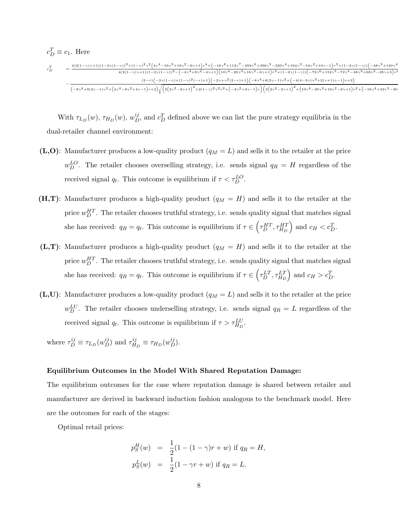$$
\begin{array}{ll}c_{D}^{T}\equiv c_{1}. \hspace{1.5cm} & \text{Here} \\ \epsilon_{D}^{T}&=\frac{4(2(1-\gamma)\gamma+1)(1-2\gamma(1-\gamma))^{3}+(1-\gamma)^{2}\gamma^{2}\left(4\gamma^{4}-16\gamma^{3}+18\gamma^{2}-6\gamma+1\right)r^{4}+\left(-16\gamma^{8}+112\gamma^{7}-292\gamma^{6}+396\gamma^{5}-320\gamma^{4}+164\gamma^{3}-54\gamma^{2}+10\gamma-1\right)r^{3}+(1-2\gamma(1-\gamma))\left(-48\gamma^{5}+140\gamma^{4}-42\gamma(1-\gamma)+1\right)r^{2}+(1-2\gamma(1-\gamma))^{2}}{4(2(1-\gamma)\gamma+1)(1-2\gamma(1-\gamma))^{3}-\left(-4\gamma^{4}+8\gamma^{2}-4\gamma+1\right)\left(10\gamma^{4}-20\gamma^{3}+16\gamma^{2}-6\gamma+1\right)r^{3}+(1-2\gamma(1-\gamma))\left(-72\gamma^{6}+152\gamma^{5}-72\gamma^{4}-48\gamma^{3}+68\gamma^{2}-28\gamma+5\right)r^{2}+(1-2\gamma(1-\gamma))^{2}+(1-2\gamma(1-\gamma))^{2}+(1-2\gamma(1-\gamma))^{2}+(1-2\gamma(1-\gamma))^{2}+(1-2\gamma(1-\gamma))^{2}+(1-2\gamma(1-\gamma))^{2}+(1-2\gamma(1-\gamma))^{2}+(1-2\gamma(1-\gamma))^{2}+(1-2\gamma(1-\gamma))^{2}+(1-2\gamma(1-\gamma))^{2}+(1-2\gamma(1-\gamma))^{2}+(1-2\gamma(1-\gamma))^{2}+(1-2\gamma(1-\gamma))^{2}+(1-2\gamma(1-\gamma))^{2}+(1-2\gamma(1-\gamma))^{2}+(1-2\gamma(1-\gamma))^{2}+(1-2\gamma(1-\gamma))^{2}+(1-2\gamma(1-\gamma))^{2}+(1-2\gamma(1-\gamma))^{2}+(1-2\gamma(1-\gamma))^{2}+(1-2\gamma(1-\gamma))^{2}+(1-2\gamma(1-\gamma))^{2}+(1-2\gamma(1-\gamma))^{2}+(1-2\gamma(1-\gamma))^{2}+(1-2\gamma(1-\gamma))^{2}+(1-2\gamma(1-\gamma))
$$

With  $\tau_{L_D}(w)$ ,  $\tau_{H_D}(w)$ ,  $w_D^{ij}$ , and  $c_D^T$  defined above we can list the pure strategy equilibria in the dual-retailer channel environment:

- (L,O): Manufacturer produces a low-quality product  $(q_M = L)$  and sells it to the retailer at the price  $w_D^{LO}$ . The retailer chooses overselling strategy, i.e. sends signal  $q_R = H$  regardless of the received signal  $q_t$ . This outcome is equilibrium if  $\tau < \tau_D^{LO}$ .
- (H,T): Manufacturer produces a high-quality product  $(q_M = H)$  and sells it to the retailer at the price  $w_D^{HT}$ . The retailer chooses truthful strategy, i.e. sends quality signal that matches signal she has received:  $q_R = q_t$ . This outcome is equilibrium if  $\tau \in \left(\tau_D^{HT}, \tau_{HD}^{HT}\right)$  and  $c_H < c_D^T$ .
- $(L,T)$ : Manufacturer produces a high-quality product  $(q_M = H)$  and sells it to the retailer at the price  $w_D^{HT}$ . The retailer chooses truthful strategy, i.e. sends quality signal that matches signal she has received:  $q_R = q_t$ . This outcome is equilibrium if  $\tau \in \left(\tau_D^{LT}, \tau_{H_D}^{LT}\right)$  and  $c_H > c_D^T$ .
- $(L,U)$ : Manufacturer produces a low-quality product  $(q_M = L)$  and sells it to the retailer at the price  $w_D^{LU}$ . The retailer chooses underselling strategy, i.e. sends signal  $q_R = L$  regardless of the received signal  $q_t$ . This outcome is equilibrium if  $\tau > \tau_{H_D}^{LU}$ .

where  $\tau_D^{ij} \equiv \tau_{L_D}(w_D^{ij})$  and  $\tau_H^{ij}$  ${}_{H_D}^{ij} \equiv \tau_{H_D}(w_D^{ij}).$ 

#### Equilibrium Outcomes in the Model With Shared Reputation Damage:

The equilibrium outcomes for the case where reputation damage is shared between retailer and manufacturer are derived in backward induction fashion analogous to the benchmark model. Here are the outcomes for each of the stages:

Optimal retail prices:

$$
p_S^H(w) = \frac{1}{2}(1 - (1 - \gamma)r + w) \text{ if } q_R = H,
$$
  
\n
$$
p_S^L(w) = \frac{1}{2}(1 - \gamma r + w) \text{ if } q_R = L.
$$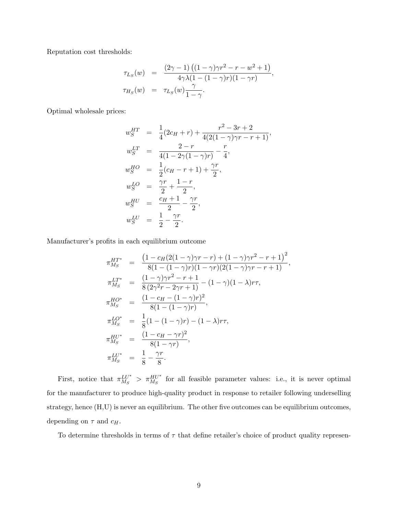Reputation cost thresholds:

$$
\tau_{L_S}(w) = \frac{(2\gamma - 1) ((1 - \gamma)\gamma r^2 - r - w^2 + 1)}{4\gamma \lambda (1 - (1 - \gamma)r)(1 - \gamma r)},
$$
  

$$
\tau_{H_S}(w) = \tau_{L_S}(w) \frac{\gamma}{1 - \gamma}.
$$

Optimal wholesale prices:

$$
w_S^{HT} = \frac{1}{4}(2c_H + r) + \frac{r^2 - 3r + 2}{4(2(1 - \gamma)\gamma r - r + 1)},
$$
  
\n
$$
w_S^{LT} = \frac{2 - r}{4(1 - 2\gamma(1 - \gamma)r)} - \frac{r}{4},
$$
  
\n
$$
w_S^{HO} = \frac{1}{2}(c_H - r + 1) + \frac{\gamma r}{2},
$$
  
\n
$$
w_S^{LO} = \frac{\gamma r}{2} + \frac{1 - r}{2},
$$
  
\n
$$
w_S^{HU} = \frac{c_H + 1}{2} - \frac{\gamma r}{2},
$$
  
\n
$$
w_S^{LU} = \frac{1}{2} - \frac{\gamma r}{2}.
$$

Manufacturer's profits in each equilibrium outcome

$$
\pi_{M_S}^{HT^*} = \frac{\left(1 - c_H(2(1-\gamma)\gamma r - r) + (1-\gamma)\gamma r^2 - r + 1\right)^2}{8(1 - (1-\gamma)r)(1 - \gamma r)(2(1-\gamma)\gamma r - r + 1)},
$$
\n
$$
\pi_{M_S}^{LT^*} = \frac{(1-\gamma)\gamma r^2 - r + 1}{8(2\gamma^2 r - 2\gamma r + 1)} - (1-\gamma)(1-\lambda)r\tau,
$$
\n
$$
\pi_{M_S}^{HO^*} = \frac{(1 - c_H - (1-\gamma)r)^2}{8(1 - (1-\gamma)r)},
$$
\n
$$
\pi_{M_S}^{LU^*} = \frac{1}{8}(1 - (1-\gamma)r) - (1-\lambda)r\tau,
$$
\n
$$
\pi_{M_S}^{HU^*} = \frac{(1 - c_H - \gamma r)^2}{8(1 - \gamma r)},
$$
\n
$$
\pi_{M_S}^{LU^*} = \frac{1}{8} - \frac{\gamma r}{8}.
$$

First, notice that  $\pi_{M_c}^{LU^*}$  $\frac{LU^*}{M_S}$  >  $\pi \frac{HU^*}{M_S}$  for all feasible parameter values: i.e., it is never optimal for the manufacturer to produce high-quality product in response to retailer following underselling strategy, hence (H,U) is never an equilibrium. The other five outcomes can be equilibrium outcomes, depending on  $\tau$  and  $c_H$ .

To determine thresholds in terms of  $\tau$  that define retailer's choice of product quality represen-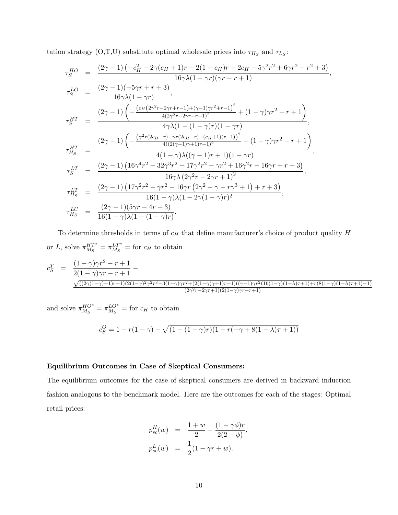tation strategy (O,T,U) substitute optimal wholesale prices into  $\tau_{H_S}$  and  $\tau_{L_S}$ :

$$
\tau_S^{HO} = \frac{(2\gamma - 1) \left(-c_H^2 - 2\gamma(c_H + 1)r - 2(1 - c_H)r - 2c_H - 5\gamma^2r^2 + 6\gamma r^2 - r^2 + 3\right)}{16\gamma\lambda(1 - \gamma r)},
$$
\n
$$
\tau_S^{LO} = \frac{(2\gamma - 1)(-5\gamma r + r + 3)}{16\gamma\lambda(1 - \gamma r)},
$$
\n
$$
\tau_S^{HT} = \frac{(2\gamma - 1)\left(-\frac{(c_H(2\gamma^2 r - 2\gamma r + r - 1) + (\gamma - 1)\gamma r^2 + r - 1)^2}{4(2\gamma^2 r - 2\gamma r + r - 1)^2} + (1 - \gamma)\gamma r^2 - r + 1\right)}{4\gamma\lambda(1 - (1 - \gamma)r)(1 - \gamma r)},
$$
\n
$$
\tau_{HS}^{HT} = \frac{(2\gamma - 1)\left(-\frac{(\gamma^2 r(2c_H + r) - \gamma r(2c_H + r) + (c_H + 1)(r - 1))^2}{4((2(\gamma - 1)\gamma + 1)r - 1)^2} + (1 - \gamma)\gamma r^2 - r + 1\right)}{4(1 - \gamma)\lambda((\gamma - 1)r + 1)(1 - \gamma r)},
$$
\n
$$
\tau_S^{LT} = \frac{(2\gamma - 1)\left(16\gamma^4 r^2 - 32\gamma^3 r^2 + 17\gamma^2 r^2 - \gamma r^2 + 16\gamma^2 r - 16\gamma r + r + 3\right)}{16\gamma\lambda(2\gamma^2 r - 2\gamma r + 1)^2},
$$
\n
$$
\tau_{HS}^{LT} = \frac{(2\gamma - 1)\left(17\gamma^2 r^2 - \gamma r^2 - 16\gamma r (2\gamma^2 - \gamma - r\gamma^3 + 1) + r + 3\right)}{16(1 - \gamma)\lambda(1 - 2\gamma(1 - \gamma)r)^2},
$$
\n
$$
\tau_{HS}^{LU} = \frac{(2\gamma - 1)(5\gamma r - 4r + 3)}{16(1 - \gamma)\lambda(1 - (1 - \gamma)r)}.
$$

To determine thresholds in terms of  $c_H$  that define manufacturer's choice of product quality  $H$ or L, solve  $\pi_{M_S}^{HT^*}$  $\frac{HT^*}{M_S} = \pi_{M_S}^{LT^*}$  $\frac{LT^*}{M_S}$  = for  $c_H$  to obtain

$$
c_S^T = \frac{(1-\gamma)\gamma r^2 - r + 1}{2(1-\gamma)\gamma r - r + 1} - \frac{\sqrt{((2\gamma(1-\gamma)\gamma r + 1)(2(1-\gamma)^2\gamma^2 r^3 - 3(1-\gamma)\gamma r^2 + (2(1-\gamma)\gamma+1)r - 1)((\gamma-1)\gamma r^2(16(1-\gamma)(1-\lambda)\tau + 1) + r(8(1-\gamma)(1-\lambda)\tau + 1) - 1)}}{(2\gamma^2 r - 2\gamma r + 1)(2(1-\gamma)\gamma r - r + 1)}
$$

and solve  $\pi_{M_G}^{HO^*}$  $^{HO^*}_{M_S} = \pi_{M_S}^{LO^*}$  $\frac{L}{M_S}$  = for  $c_H$  to obtain

$$
c_S^O = 1 + r(1 - \gamma) - \sqrt{(1 - (1 - \gamma)r)(1 - r(-\gamma + 8(1 - \lambda)\tau + 1))}
$$

### Equilibrium Outcomes in Case of Skeptical Consumers:

The equilibrium outcomes for the case of skeptical consumers are derived in backward induction fashion analogous to the benchmark model. Here are the outcomes for each of the stages: Optimal retail prices:

$$
p_{sc}^{H}(w) = \frac{1+w}{2} - \frac{(1-\gamma\phi)r}{2(2-\phi)},
$$
  

$$
p_{sc}^{L}(w) = \frac{1}{2}(1-\gamma r + w).
$$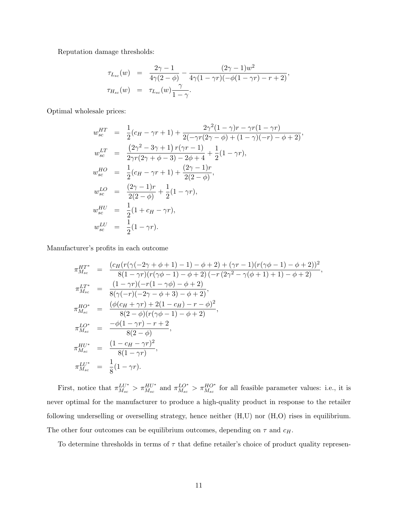Reputation damage thresholds:

$$
\tau_{L_{sc}}(w) = \frac{2\gamma - 1}{4\gamma(2 - \phi)} - \frac{(2\gamma - 1)w^2}{4\gamma(1 - \gamma r)(-\phi(1 - \gamma r) - r + 2)},
$$
  

$$
\tau_{H_{sc}}(w) = \tau_{L_{sc}}(w) \frac{\gamma}{1 - \gamma}.
$$

Optimal wholesale prices:

$$
w_{sc}^{HT} = \frac{1}{2}(c_H - \gamma r + 1) + \frac{2\gamma^2(1 - \gamma)r - \gamma r(1 - \gamma r)}{2(-\gamma r(2\gamma - \phi) + (1 - \gamma)(-r) - \phi + 2)},
$$
  
\n
$$
w_{sc}^{LT} = \frac{(2\gamma^2 - 3\gamma + 1) r(\gamma r - 1)}{2\gamma r(2\gamma + \phi - 3) - 2\phi + 4} + \frac{1}{2}(1 - \gamma r),
$$
  
\n
$$
w_{sc}^{HO} = \frac{1}{2}(c_H - \gamma r + 1) + \frac{(2\gamma - 1)r}{2(2 - \phi)},
$$
  
\n
$$
w_{sc}^{LO} = \frac{(2\gamma - 1)r}{2(2 - \phi)} + \frac{1}{2}(1 - \gamma r),
$$
  
\n
$$
w_{sc}^{HU} = \frac{1}{2}(1 + c_H - \gamma r),
$$
  
\n
$$
w_{sc}^{LU} = \frac{1}{2}(1 - \gamma r).
$$

Manufacturer's profits in each outcome

$$
\pi_{M_{sc}}^{HT^{*}} = \frac{(c_{H}(r(\gamma(-2\gamma + \phi + 1) - 1) - \phi + 2) + (\gamma r - 1)(r(\gamma\phi - 1) - \phi + 2))^{2}}{8(1 - \gamma r)(r(\gamma\phi - 1) - \phi + 2)(-r(2\gamma^{2} - \gamma(\phi + 1) + 1) - \phi + 2)},
$$
\n
$$
\pi_{M_{sc}}^{LT^{*}} = \frac{(1 - \gamma r)(-r(1 - \gamma\phi) - \phi + 2)}{8(\gamma(-r)(-2\gamma - \phi + 3) - \phi + 2)},
$$
\n
$$
\pi_{M_{sc}}^{HO^{*}} = \frac{(\phi(c_{H} + \gamma r) + 2(1 - c_{H}) - r - \phi)^{2}}{8(2 - \phi)(r(\gamma\phi - 1) - \phi + 2)},
$$
\n
$$
\pi_{M_{sc}}^{LO^{*}} = \frac{-\phi(1 - \gamma r) - r + 2}{8(2 - \phi)},
$$
\n
$$
\pi_{M_{sc}}^{HU^{*}} = \frac{(1 - c_{H} - \gamma r)^{2}}{8(1 - \gamma r)},
$$
\n
$$
\pi_{M_{sc}}^{LU^{*}} = \frac{1}{8}(1 - \gamma r).
$$

First, notice that  $\pi_{M_{sc}}^{LU^*} > \pi_{M_{sc}}^{HU^*}$  and  $\pi_{M_{sc}}^{LO^*} > \pi_{M_{sc}}^{HO^*}$  for all feasible parameter values: i.e., it is never optimal for the manufacturer to produce a high-quality product in response to the retailer following underselling or overselling strategy, hence neither (H,U) nor (H,O) rises in equilibrium. The other four outcomes can be equilibrium outcomes, depending on  $\tau$  and  $c_H$ .

To determine thresholds in terms of  $\tau$  that define retailer's choice of product quality represen-